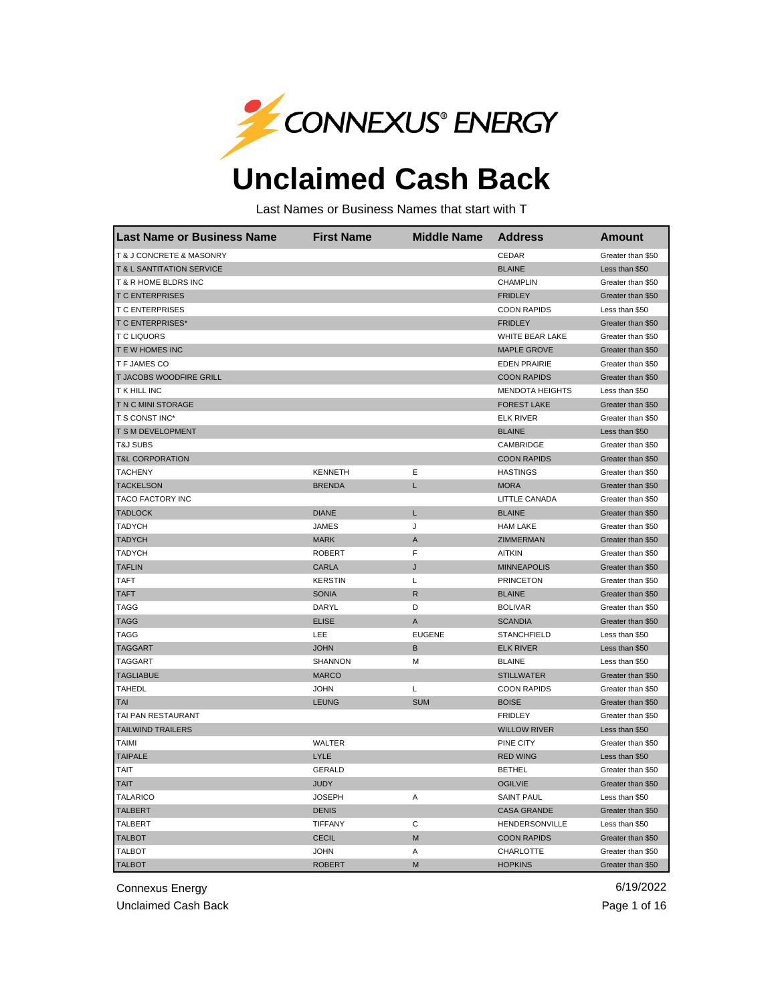

## **Unclaimed Cash Back**

Last Names or Business Names that start with T

| <b>Last Name or Business Name</b> | <b>First Name</b> | <b>Middle Name</b> | <b>Address</b>         | <b>Amount</b>     |
|-----------------------------------|-------------------|--------------------|------------------------|-------------------|
| T & J CONCRETE & MASONRY          |                   |                    | CEDAR                  | Greater than \$50 |
| T & L SANTITATION SERVICE         |                   |                    | <b>BLAINE</b>          | Less than \$50    |
| T & R HOME BLDRS INC              |                   |                    | <b>CHAMPLIN</b>        | Greater than \$50 |
| <b>TC ENTERPRISES</b>             |                   |                    | <b>FRIDLEY</b>         | Greater than \$50 |
| <b>T C ENTERPRISES</b>            |                   |                    | <b>COON RAPIDS</b>     | Less than \$50    |
| <b>T C ENTERPRISES*</b>           |                   |                    | <b>FRIDLEY</b>         | Greater than \$50 |
| <b>TC LIQUORS</b>                 |                   |                    | WHITE BEAR LAKE        | Greater than \$50 |
| T E W HOMES INC                   |                   |                    | <b>MAPLE GROVE</b>     | Greater than \$50 |
| T F JAMES CO                      |                   |                    | <b>EDEN PRAIRIE</b>    | Greater than \$50 |
| T JACOBS WOODFIRE GRILL           |                   |                    | <b>COON RAPIDS</b>     | Greater than \$50 |
| T K HILL INC                      |                   |                    | <b>MENDOTA HEIGHTS</b> | Less than \$50    |
| T N C MINI STORAGE                |                   |                    | <b>FOREST LAKE</b>     | Greater than \$50 |
| T S CONST INC*                    |                   |                    | <b>ELK RIVER</b>       | Greater than \$50 |
| T S M DEVELOPMENT                 |                   |                    | <b>BLAINE</b>          | Less than \$50    |
| <b>T&amp;J SUBS</b>               |                   |                    | CAMBRIDGE              | Greater than \$50 |
| <b>T&amp;L CORPORATION</b>        |                   |                    | <b>COON RAPIDS</b>     | Greater than \$50 |
| <b>TACHENY</b>                    | <b>KENNETH</b>    | Ε                  | <b>HASTINGS</b>        | Greater than \$50 |
| <b>TACKELSON</b>                  | <b>BRENDA</b>     | L                  | <b>MORA</b>            | Greater than \$50 |
| TACO FACTORY INC                  |                   |                    | LITTLE CANADA          | Greater than \$50 |
| <b>TADLOCK</b>                    | <b>DIANE</b>      | L                  | <b>BLAINE</b>          | Greater than \$50 |
| <b>TADYCH</b>                     | <b>JAMES</b>      | J                  | <b>HAM LAKE</b>        | Greater than \$50 |
| <b>TADYCH</b>                     | <b>MARK</b>       | A                  | <b>ZIMMERMAN</b>       | Greater than \$50 |
| <b>TADYCH</b>                     | <b>ROBERT</b>     | F                  | <b>AITKIN</b>          | Greater than \$50 |
| <b>TAFLIN</b>                     | CARLA             | J                  | <b>MINNEAPOLIS</b>     | Greater than \$50 |
| <b>TAFT</b>                       | <b>KERSTIN</b>    | Г                  | <b>PRINCETON</b>       | Greater than \$50 |
| <b>TAFT</b>                       | <b>SONIA</b>      | $\mathsf{R}$       | <b>BLAINE</b>          | Greater than \$50 |
| TAGG                              | DARYL             | D                  | <b>BOLIVAR</b>         | Greater than \$50 |
| <b>TAGG</b>                       | <b>ELISE</b>      | A                  | <b>SCANDIA</b>         | Greater than \$50 |
| <b>TAGG</b>                       | LEE               | <b>EUGENE</b>      | <b>STANCHFIELD</b>     | Less than \$50    |
| <b>TAGGART</b>                    | <b>JOHN</b>       | В                  | <b>ELK RIVER</b>       | Less than \$50    |
| <b>TAGGART</b>                    | SHANNON           | М                  | <b>BLAINE</b>          | Less than \$50    |
| <b>TAGLIABUE</b>                  | <b>MARCO</b>      |                    | <b>STILLWATER</b>      | Greater than \$50 |
| <b>TAHEDL</b>                     | <b>JOHN</b>       | L                  | <b>COON RAPIDS</b>     | Greater than \$50 |
| TAI                               | <b>LEUNG</b>      | <b>SUM</b>         | <b>BOISE</b>           | Greater than \$50 |
| TAI PAN RESTAURANT                |                   |                    | <b>FRIDLEY</b>         | Greater than \$50 |
| <b>TAILWIND TRAILERS</b>          |                   |                    | <b>WILLOW RIVER</b>    | Less than \$50    |
| TAIMI                             | WALTER            |                    | PINE CITY              | Greater than \$50 |
| <b>TAIPALE</b>                    | LYLE              |                    | <b>RED WING</b>        | Less than \$50    |
| TAIT                              | <b>GERALD</b>     |                    | <b>BETHEL</b>          | Greater than \$50 |
| <b>TAIT</b>                       | <b>JUDY</b>       |                    | <b>OGILVIE</b>         | Greater than \$50 |
| <b>TALARICO</b>                   | <b>JOSEPH</b>     | Α                  | <b>SAINT PAUL</b>      | Less than \$50    |
| <b>TALBERT</b>                    | <b>DENIS</b>      |                    | <b>CASA GRANDE</b>     | Greater than \$50 |
| <b>TALBERT</b>                    | TIFFANY           | C                  | HENDERSONVILLE         | Less than \$50    |
| <b>TALBOT</b>                     | <b>CECIL</b>      | M                  | <b>COON RAPIDS</b>     | Greater than \$50 |
| <b>TALBOT</b>                     | <b>JOHN</b>       | Α                  | <b>CHARLOTTE</b>       | Greater than \$50 |
| <b>TALBOT</b>                     | <b>ROBERT</b>     | M                  | <b>HOPKINS</b>         | Greater than \$50 |

Connexus Energy 6/19/2022

Unclaimed Cash Back **Page 1 of 16** Page 1 of 16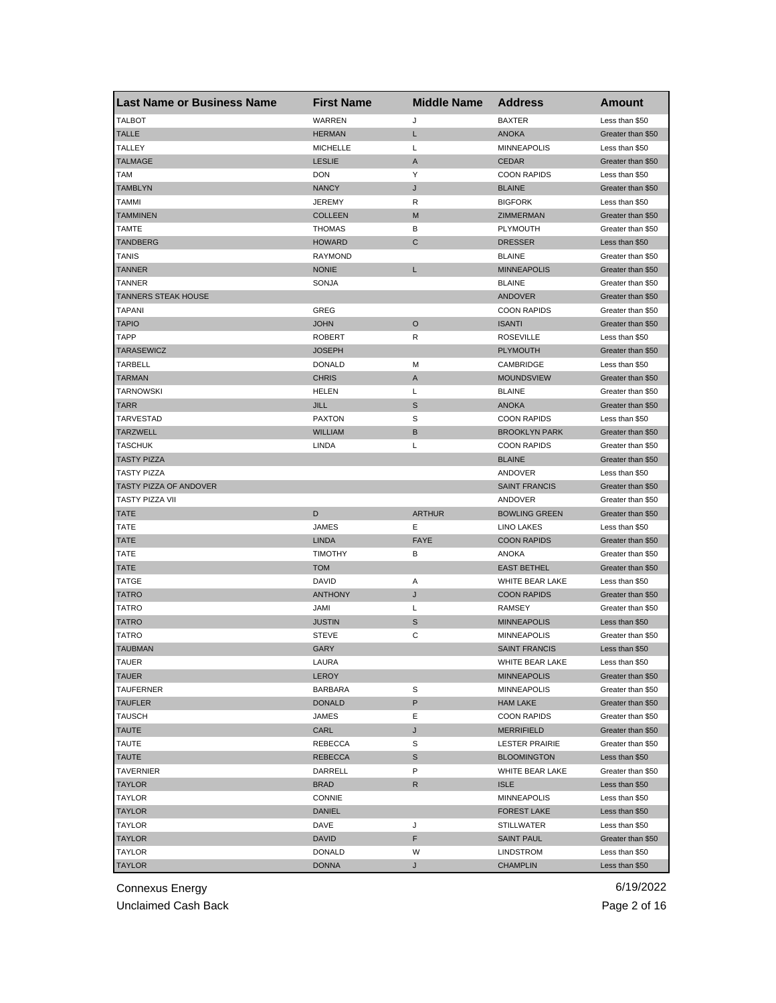| <b>Last Name or Business Name</b> | <b>First Name</b> | <b>Middle Name</b> | <b>Address</b>        | <b>Amount</b>     |
|-----------------------------------|-------------------|--------------------|-----------------------|-------------------|
| <b>TALBOT</b>                     | WARREN            | J                  | <b>BAXTER</b>         | Less than \$50    |
| <b>TALLE</b>                      | <b>HERMAN</b>     | Г                  | <b>ANOKA</b>          | Greater than \$50 |
| <b>TALLEY</b>                     | <b>MICHELLE</b>   | L                  | <b>MINNEAPOLIS</b>    | Less than \$50    |
| <b>TALMAGE</b>                    | <b>LESLIE</b>     | Α                  | <b>CEDAR</b>          | Greater than \$50 |
| TAM                               | DON               | Υ                  | <b>COON RAPIDS</b>    | Less than \$50    |
| <b>TAMBLYN</b>                    | <b>NANCY</b>      | J                  | <b>BLAINE</b>         | Greater than \$50 |
| TAMMI                             | <b>JEREMY</b>     | R                  | <b>BIGFORK</b>        | Less than \$50    |
| <b>TAMMINEN</b>                   | <b>COLLEEN</b>    | M                  | ZIMMERMAN             | Greater than \$50 |
| TAMTE                             | <b>THOMAS</b>     | В                  | PLYMOUTH              | Greater than \$50 |
| <b>TANDBERG</b>                   | <b>HOWARD</b>     | С                  | <b>DRESSER</b>        | Less than \$50    |
| TANIS                             | <b>RAYMOND</b>    |                    | <b>BLAINE</b>         | Greater than \$50 |
| <b>TANNER</b>                     | <b>NONIE</b>      | Г                  | <b>MINNEAPOLIS</b>    | Greater than \$50 |
| TANNER                            | SONJA             |                    | <b>BLAINE</b>         | Greater than \$50 |
| <b>TANNERS STEAK HOUSE</b>        |                   |                    | <b>ANDOVER</b>        | Greater than \$50 |
| <b>TAPANI</b>                     | GREG              |                    | <b>COON RAPIDS</b>    | Greater than \$50 |
| <b>TAPIO</b>                      | <b>JOHN</b>       | $\circ$            | <b>ISANTI</b>         | Greater than \$50 |
| TAPP                              | <b>ROBERT</b>     | R                  | <b>ROSEVILLE</b>      | Less than \$50    |
| <b>TARASEWICZ</b>                 | <b>JOSEPH</b>     |                    | <b>PLYMOUTH</b>       | Greater than \$50 |
| <b>TARBELL</b>                    | <b>DONALD</b>     | М                  | CAMBRIDGE             | Less than \$50    |
| <b>TARMAN</b>                     | <b>CHRIS</b>      | A                  | <b>MOUNDSVIEW</b>     | Greater than \$50 |
| <b>TARNOWSKI</b>                  | <b>HELEN</b>      | Г                  | <b>BLAINE</b>         | Greater than \$50 |
| <b>TARR</b>                       | <b>JILL</b>       | S                  | <b>ANOKA</b>          | Greater than \$50 |
| TARVESTAD                         | <b>PAXTON</b>     | S                  | <b>COON RAPIDS</b>    | Less than \$50    |
| TARZWELL                          | <b>WILLIAM</b>    | B                  | <b>BROOKLYN PARK</b>  | Greater than \$50 |
| <b>TASCHUK</b>                    | LINDA             | Г                  | <b>COON RAPIDS</b>    | Greater than \$50 |
| <b>TASTY PIZZA</b>                |                   |                    | <b>BLAINE</b>         | Greater than \$50 |
| TASTY PIZZA                       |                   |                    | ANDOVER               | Less than \$50    |
| TASTY PIZZA OF ANDOVER            |                   |                    | <b>SAINT FRANCIS</b>  | Greater than \$50 |
| TASTY PIZZA VII                   |                   |                    | ANDOVER               | Greater than \$50 |
| <b>TATE</b>                       | D                 | <b>ARTHUR</b>      | <b>BOWLING GREEN</b>  | Greater than \$50 |
| TATE                              | <b>JAMES</b>      | Ε                  | <b>LINO LAKES</b>     | Less than \$50    |
| <b>TATE</b>                       | <b>LINDA</b>      | <b>FAYE</b>        | <b>COON RAPIDS</b>    | Greater than \$50 |
| TATE                              | <b>TIMOTHY</b>    | В                  | ANOKA                 | Greater than \$50 |
| TATE                              | <b>TOM</b>        |                    | <b>EAST BETHEL</b>    | Greater than \$50 |
| <b>TATGE</b>                      | <b>DAVID</b>      | Α                  | WHITE BEAR LAKE       | Less than \$50    |
| <b>TATRO</b>                      | <b>ANTHONY</b>    | J                  | <b>COON RAPIDS</b>    | Greater than \$50 |
| TATRO                             | JAMI              | L                  | RAMSEY                | Greater than \$50 |
| <b>TATRO</b>                      | <b>JUSTIN</b>     | S                  | <b>MINNEAPOLIS</b>    | Less than \$50    |
| TATRO                             | <b>STEVE</b>      | С                  | <b>MINNEAPOLIS</b>    | Greater than \$50 |
| <b>TAUBMAN</b>                    | GARY              |                    | <b>SAINT FRANCIS</b>  | Less than \$50    |
| TAUER                             | LAURA             |                    | WHITE BEAR LAKE       | Less than \$50    |
| <b>TAUER</b>                      | LEROY             |                    | <b>MINNEAPOLIS</b>    | Greater than \$50 |
| <b>TAUFERNER</b>                  | <b>BARBARA</b>    | S                  | <b>MINNEAPOLIS</b>    | Greater than \$50 |
| <b>TAUFLER</b>                    | <b>DONALD</b>     | P                  | <b>HAM LAKE</b>       | Greater than \$50 |
| TAUSCH                            | JAMES             | Ε                  | <b>COON RAPIDS</b>    | Greater than \$50 |
| <b>TAUTE</b>                      | CARL              | J                  | <b>MERRIFIELD</b>     | Greater than \$50 |
| TAUTE                             | REBECCA           | S                  | <b>LESTER PRAIRIE</b> | Greater than \$50 |
| <b>TAUTE</b>                      | <b>REBECCA</b>    | S                  | <b>BLOOMINGTON</b>    | Less than \$50    |
| TAVERNIER                         | DARRELL           | P                  | WHITE BEAR LAKE       | Greater than \$50 |
| <b>TAYLOR</b>                     | <b>BRAD</b>       | R                  | <b>ISLE</b>           | Less than \$50    |
| TAYLOR                            | CONNIE            |                    | <b>MINNEAPOLIS</b>    | Less than \$50    |
| <b>TAYLOR</b>                     | DANIEL            |                    | <b>FOREST LAKE</b>    | Less than \$50    |
| TAYLOR                            | DAVE              | J                  | STILLWATER            | Less than \$50    |
| TAYLOR                            | DAVID             | F                  | <b>SAINT PAUL</b>     | Greater than \$50 |
| TAYLOR                            | <b>DONALD</b>     | W                  | LINDSTROM             | Less than \$50    |
| <b>TAYLOR</b>                     | <b>DONNA</b>      | J                  | <b>CHAMPLIN</b>       | Less than \$50    |

Unclaimed Cash Back **Page 2 of 16**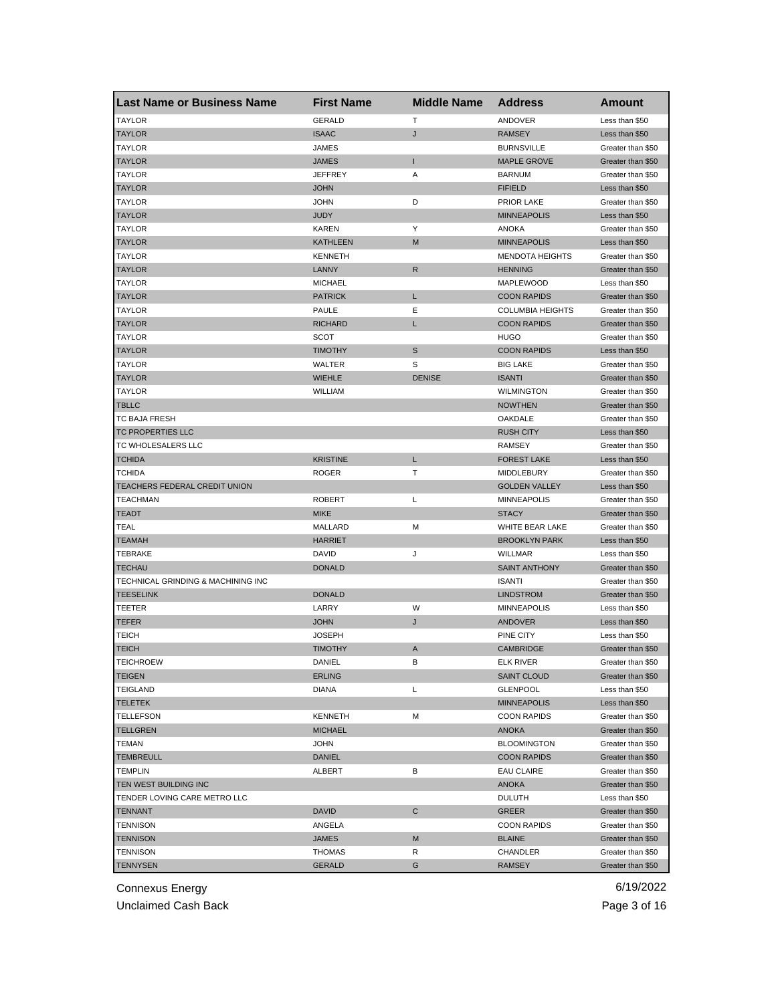| <b>Last Name or Business Name</b>  | <b>First Name</b> | <b>Middle Name</b> | <b>Address</b>          | Amount            |
|------------------------------------|-------------------|--------------------|-------------------------|-------------------|
| <b>TAYLOR</b>                      | <b>GERALD</b>     | Т                  | ANDOVER                 | Less than \$50    |
| <b>TAYLOR</b>                      | <b>ISAAC</b>      | J                  | <b>RAMSEY</b>           | Less than \$50    |
| <b>TAYLOR</b>                      | JAMES             |                    | <b>BURNSVILLE</b>       | Greater than \$50 |
| <b>TAYLOR</b>                      | <b>JAMES</b>      | т                  | <b>MAPLE GROVE</b>      | Greater than \$50 |
| <b>TAYLOR</b>                      | <b>JEFFREY</b>    | Α                  | <b>BARNUM</b>           | Greater than \$50 |
| <b>TAYLOR</b>                      | <b>JOHN</b>       |                    | <b>FIFIELD</b>          | Less than \$50    |
| TAYLOR                             | <b>JOHN</b>       | D                  | PRIOR LAKE              | Greater than \$50 |
| <b>TAYLOR</b>                      | <b>JUDY</b>       |                    | <b>MINNEAPOLIS</b>      | Less than \$50    |
| TAYLOR                             | KAREN             | Υ                  | <b>ANOKA</b>            | Greater than \$50 |
| <b>TAYLOR</b>                      | <b>KATHLEEN</b>   | M                  | <b>MINNEAPOLIS</b>      | Less than \$50    |
| TAYLOR                             | <b>KENNETH</b>    |                    | <b>MENDOTA HEIGHTS</b>  | Greater than \$50 |
| <b>TAYLOR</b>                      | LANNY             | R                  | <b>HENNING</b>          | Greater than \$50 |
| <b>TAYLOR</b>                      | <b>MICHAEL</b>    |                    | MAPLEWOOD               | Less than \$50    |
| <b>TAYLOR</b>                      | <b>PATRICK</b>    | Г                  | <b>COON RAPIDS</b>      | Greater than \$50 |
| <b>TAYLOR</b>                      | <b>PAULE</b>      | Ε                  | <b>COLUMBIA HEIGHTS</b> | Greater than \$50 |
| <b>TAYLOR</b>                      | <b>RICHARD</b>    | L                  | <b>COON RAPIDS</b>      | Greater than \$50 |
| <b>TAYLOR</b>                      | <b>SCOT</b>       |                    | <b>HUGO</b>             | Greater than \$50 |
| TAYLOR                             | <b>TIMOTHY</b>    | S                  | <b>COON RAPIDS</b>      | Less than \$50    |
| <b>TAYLOR</b>                      | WALTER            | S                  | <b>BIG LAKE</b>         | Greater than \$50 |
| <b>TAYLOR</b>                      | <b>WIEHLE</b>     | <b>DENISE</b>      | <b>ISANTI</b>           | Greater than \$50 |
| <b>TAYLOR</b>                      | <b>WILLIAM</b>    |                    | <b>WILMINGTON</b>       | Greater than \$50 |
| <b>TBLLC</b>                       |                   |                    | <b>NOWTHEN</b>          | Greater than \$50 |
| TC BAJA FRESH                      |                   |                    | OAKDALE                 | Greater than \$50 |
| TC PROPERTIES LLC                  |                   |                    | <b>RUSH CITY</b>        | Less than \$50    |
| TC WHOLESALERS LLC                 |                   |                    | RAMSEY                  | Greater than \$50 |
| <b>TCHIDA</b>                      | <b>KRISTINE</b>   | Г                  | <b>FOREST LAKE</b>      | Less than \$50    |
| TCHIDA                             | <b>ROGER</b>      | Т                  | MIDDLEBURY              | Greater than \$50 |
| TEACHERS FEDERAL CREDIT UNION      |                   |                    | <b>GOLDEN VALLEY</b>    | Less than \$50    |
| <b>TEACHMAN</b>                    | <b>ROBERT</b>     | L                  | MINNEAPOLIS             | Greater than \$50 |
| TEADT                              | <b>MIKE</b>       |                    | <b>STACY</b>            | Greater than \$50 |
| TEAL                               | MALLARD           | M                  | WHITE BEAR LAKE         | Greater than \$50 |
| <b>TEAMAH</b>                      | <b>HARRIET</b>    |                    | <b>BROOKLYN PARK</b>    | Less than \$50    |
| <b>TEBRAKE</b>                     | DAVID             | J                  | WILLMAR                 | Less than \$50    |
| <b>TECHAU</b>                      | <b>DONALD</b>     |                    | <b>SAINT ANTHONY</b>    | Greater than \$50 |
| TECHNICAL GRINDING & MACHINING INC |                   |                    | <b>ISANTI</b>           | Greater than \$50 |
| <b>TEESELINK</b>                   | <b>DONALD</b>     |                    | <b>LINDSTROM</b>        | Greater than \$50 |
| TEETER                             | LARRY             | W                  | <b>MINNEAPOLIS</b>      | Less than \$50    |
| <b>TEFER</b>                       | <b>JOHN</b>       | J                  | <b>ANDOVER</b>          | Less than \$50    |
| <b>TEICH</b>                       | <b>JOSEPH</b>     |                    | PINE CITY               | Less than \$50    |
| <b>TEICH</b>                       | <b>TIMOTHY</b>    | A                  | <b>CAMBRIDGE</b>        | Greater than \$50 |
| TEICHROEW                          | DANIEL            | в                  | ELK RIVER               | Greater than \$50 |
| <b>TEIGEN</b>                      | <b>ERLING</b>     |                    | <b>SAINT CLOUD</b>      | Greater than \$50 |
| TEIGLAND                           | <b>DIANA</b>      | L                  | <b>GLENPOOL</b>         | Less than \$50    |
| TELETEK                            |                   |                    | <b>MINNEAPOLIS</b>      | Less than \$50    |
| <b>TELLEFSON</b>                   | <b>KENNETH</b>    | М                  | <b>COON RAPIDS</b>      | Greater than \$50 |
| <b>TELLGREN</b>                    | <b>MICHAEL</b>    |                    | ANOKA                   | Greater than \$50 |
| TEMAN                              | <b>JOHN</b>       |                    | <b>BLOOMINGTON</b>      | Greater than \$50 |
| <b>TEMBREULL</b>                   | <b>DANIEL</b>     |                    | <b>COON RAPIDS</b>      | Greater than \$50 |
| <b>TEMPLIN</b>                     | ALBERT            | в                  | <b>EAU CLAIRE</b>       | Greater than \$50 |
| TEN WEST BUILDING INC              |                   |                    | <b>ANOKA</b>            | Greater than \$50 |
| TENDER LOVING CARE METRO LLC       |                   |                    | <b>DULUTH</b>           | Less than \$50    |
| TENNANT                            | <b>DAVID</b>      | С                  | GREER                   | Greater than \$50 |
| <b>TENNISON</b>                    | ANGELA            |                    | <b>COON RAPIDS</b>      | Greater than \$50 |
| <b>TENNISON</b>                    | <b>JAMES</b>      | M                  | <b>BLAINE</b>           | Greater than \$50 |
| <b>TENNISON</b>                    | THOMAS            | R                  | CHANDLER                | Greater than \$50 |
| <b>TENNYSEN</b>                    | <b>GERALD</b>     | G                  | <b>RAMSEY</b>           | Greater than \$50 |

Unclaimed Cash Back **Page 3 of 16**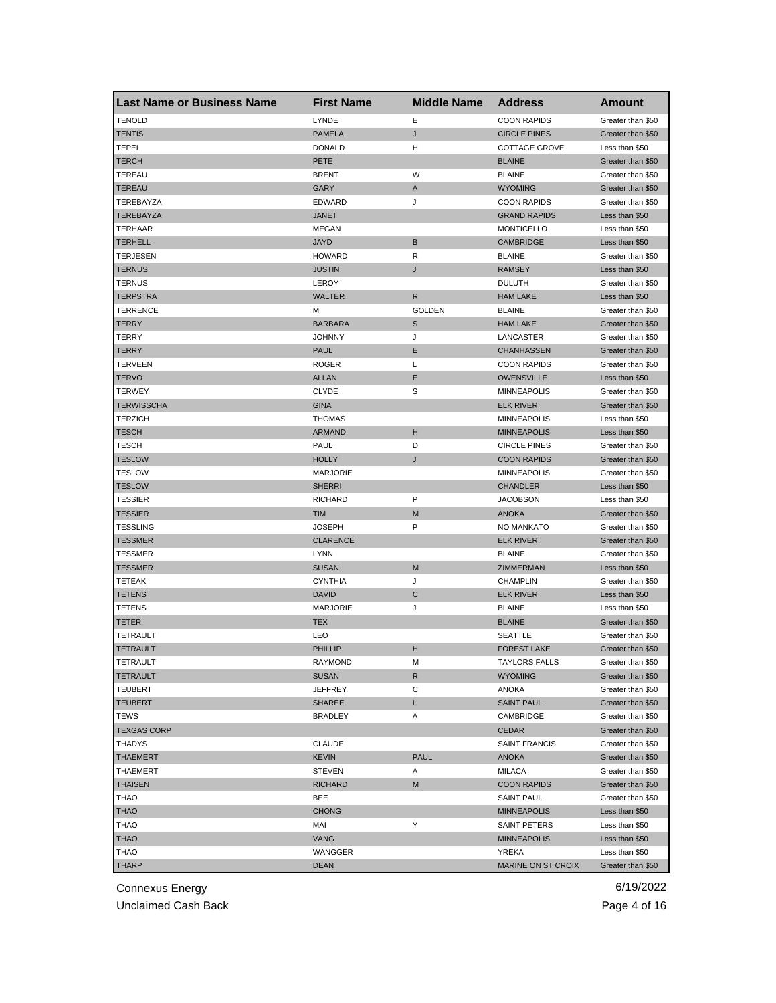| <b>Last Name or Business Name</b> | <b>First Name</b> | <b>Middle Name</b> | <b>Address</b>              | <b>Amount</b>     |
|-----------------------------------|-------------------|--------------------|-----------------------------|-------------------|
| <b>TENOLD</b>                     | LYNDE             | Ε                  | <b>COON RAPIDS</b>          | Greater than \$50 |
| TENTIS                            | <b>PAMELA</b>     | J                  | <b>CIRCLE PINES</b>         | Greater than \$50 |
| TEPEL                             | <b>DONALD</b>     | н                  | <b>COTTAGE GROVE</b>        | Less than \$50    |
| TERCH                             | PETE              |                    | <b>BLAINE</b>               | Greater than \$50 |
| <b>TEREAU</b>                     | <b>BRENT</b>      | W                  | <b>BLAINE</b>               | Greater than \$50 |
| TEREAU                            | GARY              | Α                  | <b>WYOMING</b>              | Greater than \$50 |
| TEREBAYZA                         | <b>EDWARD</b>     | J                  | <b>COON RAPIDS</b>          | Greater than \$50 |
| TEREBAYZA                         | <b>JANET</b>      |                    | <b>GRAND RAPIDS</b>         | Less than \$50    |
| TERHAAR                           | <b>MEGAN</b>      |                    | <b>MONTICELLO</b>           | Less than \$50    |
| <b>TERHELL</b>                    | <b>JAYD</b>       | B                  | <b>CAMBRIDGE</b>            | Less than \$50    |
| TERJESEN                          | <b>HOWARD</b>     | R                  | <b>BLAINE</b>               | Greater than \$50 |
| <b>TERNUS</b>                     | <b>JUSTIN</b>     | J                  | <b>RAMSEY</b>               | Less than \$50    |
| TERNUS                            | LEROY             |                    | <b>DULUTH</b>               | Greater than \$50 |
| <b>TERPSTRA</b>                   | <b>WALTER</b>     | R                  | <b>HAM LAKE</b>             | Less than \$50    |
| TERRENCE                          | М                 | <b>GOLDEN</b>      | <b>BLAINE</b>               | Greater than \$50 |
| TERRY                             | <b>BARBARA</b>    | S                  | <b>HAM LAKE</b>             | Greater than \$50 |
| TERRY                             | <b>JOHNNY</b>     | J                  | LANCASTER                   | Greater than \$50 |
| TERRY                             | PAUL              | E                  | <b>CHANHASSEN</b>           | Greater than \$50 |
| TERVEEN                           | ROGER             | L                  | <b>COON RAPIDS</b>          | Greater than \$50 |
| TERVO                             | <b>ALLAN</b>      | Ε                  | <b>OWENSVILLE</b>           | Less than \$50    |
| <b>TERWEY</b>                     | <b>CLYDE</b>      | S                  | <b>MINNEAPOLIS</b>          | Greater than \$50 |
| <b>TERWISSCHA</b>                 | <b>GINA</b>       |                    | <b>ELK RIVER</b>            | Greater than \$50 |
| <b>TERZICH</b>                    | <b>THOMAS</b>     |                    | <b>MINNEAPOLIS</b>          | Less than \$50    |
| <b>TESCH</b>                      | <b>ARMAND</b>     | н                  | <b>MINNEAPOLIS</b>          | Less than \$50    |
| TESCH                             | PAUL              | D                  | <b>CIRCLE PINES</b>         | Greater than \$50 |
| <b>TESLOW</b>                     | <b>HOLLY</b>      | J                  | <b>COON RAPIDS</b>          | Greater than \$50 |
| TESLOW                            | <b>MARJORIE</b>   |                    | <b>MINNEAPOLIS</b>          | Greater than \$50 |
| <b>TESLOW</b>                     | <b>SHERRI</b>     |                    | <b>CHANDLER</b>             | Less than \$50    |
| TESSIER                           | RICHARD           | P                  | <b>JACOBSON</b>             | Less than \$50    |
| TESSIER                           | <b>TIM</b>        | M                  | <b>ANOKA</b>                | Greater than \$50 |
| <b>TESSLING</b>                   | <b>JOSEPH</b>     | P                  | NO MANKATO                  | Greater than \$50 |
| <b>TESSMER</b>                    | <b>CLARENCE</b>   |                    | <b>ELK RIVER</b>            | Greater than \$50 |
| <b>TESSMER</b>                    | <b>LYNN</b>       |                    | <b>BLAINE</b>               | Greater than \$50 |
| <b>TESSMER</b>                    | <b>SUSAN</b>      | M                  | ZIMMERMAN                   | Less than \$50    |
| TETEAK                            | <b>CYNTHIA</b>    | J                  | <b>CHAMPLIN</b>             | Greater than \$50 |
| TETENS                            | <b>DAVID</b>      | C                  | <b>ELK RIVER</b>            | Less than \$50    |
| <b>TETENS</b>                     | <b>MARJORIE</b>   | J                  | <b>BLAINE</b>               | Less than \$50    |
| <b>TETER</b>                      | <b>TEX</b>        |                    | <b>BLAINE</b>               | Greater than \$50 |
| TETRAULT                          | LEO               |                    | SEATTLE                     | Greater than \$50 |
| TETRAULT                          | PHILLIP           | н                  | <b>FOREST LAKE</b>          | Greater than \$50 |
| TETRAULT                          | RAYMOND           | м                  | <b>IAYLORS FALLS</b>        | Greater than \$50 |
| <b>TETRAULT</b>                   | <b>SUSAN</b>      | R                  | <b>WYOMING</b>              | Greater than \$50 |
| TEUBERT                           | JEFFREY           | С                  | ANOKA                       | Greater than \$50 |
| <b>TEUBERT</b>                    | <b>SHAREE</b>     | L                  | <b>SAINT PAUL</b>           | Greater than \$50 |
| TEWS                              | <b>BRADLEY</b>    | Α                  | CAMBRIDGE                   | Greater than \$50 |
| <b>TEXGAS CORP</b>                |                   |                    | <b>CEDAR</b>                | Greater than \$50 |
| <b>THADYS</b>                     | <b>CLAUDE</b>     |                    | <b>SAINT FRANCIS</b>        | Greater than \$50 |
| THAEMERT                          | <b>KEVIN</b>      | <b>PAUL</b>        | <b>ANOKA</b>                | Greater than \$50 |
| THAEMERT                          | <b>STEVEN</b>     | Α                  | MILACA                      | Greater than \$50 |
| <b>THAISEN</b>                    | <b>RICHARD</b>    | M                  | <b>COON RAPIDS</b>          | Greater than \$50 |
| THAO                              | BEE               |                    | <b>SAINT PAUL</b>           | Greater than \$50 |
|                                   |                   |                    |                             | Less than \$50    |
| <b>THAO</b>                       | <b>CHONG</b>      | Υ                  | <b>MINNEAPOLIS</b>          |                   |
| THAO                              | MAI               |                    | SAINT PETERS                | Less than \$50    |
| <b>THAO</b><br>THAO               | VANG              |                    | <b>MINNEAPOLIS</b><br>YREKA | Less than \$50    |
|                                   | WANGGER           |                    |                             | Less than \$50    |
| <b>THARP</b>                      | <b>DEAN</b>       |                    | MARINE ON ST CROIX          | Greater than \$50 |

Unclaimed Cash Back **Page 4 of 16**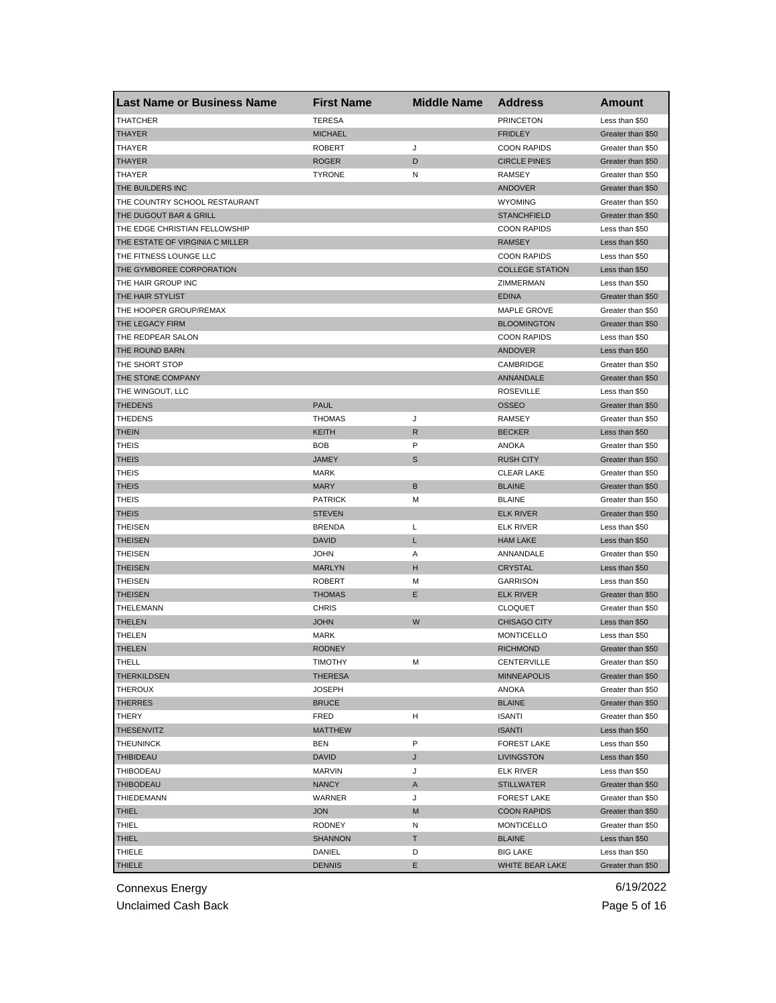| <b>Last Name or Business Name</b> | <b>First Name</b> | <b>Middle Name</b> | <b>Address</b>         | <b>Amount</b>     |
|-----------------------------------|-------------------|--------------------|------------------------|-------------------|
| <b>THATCHER</b>                   | <b>TERESA</b>     |                    | <b>PRINCETON</b>       | Less than \$50    |
| THAYER                            | <b>MICHAEL</b>    |                    | <b>FRIDLEY</b>         | Greater than \$50 |
| THAYER                            | <b>ROBERT</b>     | J                  | <b>COON RAPIDS</b>     | Greater than \$50 |
| THAYER                            | <b>ROGER</b>      | D                  | <b>CIRCLE PINES</b>    | Greater than \$50 |
| THAYER                            | <b>TYRONE</b>     | N                  | RAMSEY                 | Greater than \$50 |
| THE BUILDERS INC                  |                   |                    | ANDOVER                | Greater than \$50 |
| THE COUNTRY SCHOOL RESTAURANT     |                   |                    | <b>WYOMING</b>         | Greater than \$50 |
| THE DUGOUT BAR & GRILL            |                   |                    | <b>STANCHFIELD</b>     | Greater than \$50 |
| THE EDGE CHRISTIAN FELLOWSHIP     |                   |                    | <b>COON RAPIDS</b>     | Less than \$50    |
| THE ESTATE OF VIRGINIA C MILLER   |                   |                    | <b>RAMSEY</b>          | Less than \$50    |
| THE FITNESS LOUNGE LLC            |                   |                    | <b>COON RAPIDS</b>     | Less than \$50    |
| THE GYMBOREE CORPORATION          |                   |                    | <b>COLLEGE STATION</b> | Less than \$50    |
| THE HAIR GROUP INC                |                   |                    | ZIMMERMAN              | Less than \$50    |
| THE HAIR STYLIST                  |                   |                    | <b>EDINA</b>           | Greater than \$50 |
| THE HOOPER GROUP/REMAX            |                   |                    | MAPLE GROVE            | Greater than \$50 |
| THE LEGACY FIRM                   |                   |                    | <b>BLOOMINGTON</b>     | Greater than \$50 |
| THE REDPEAR SALON                 |                   |                    | <b>COON RAPIDS</b>     | Less than \$50    |
| THE ROUND BARN                    |                   |                    | <b>ANDOVER</b>         | Less than \$50    |
| THE SHORT STOP                    |                   |                    | CAMBRIDGE              | Greater than \$50 |
| THE STONE COMPANY                 |                   |                    | ANNANDALE              | Greater than \$50 |
| THE WINGOUT, LLC                  |                   |                    | <b>ROSEVILLE</b>       | Less than \$50    |
| <b>THEDENS</b>                    | <b>PAUL</b>       |                    | <b>OSSEO</b>           | Greater than \$50 |
| <b>THEDENS</b>                    | <b>THOMAS</b>     | J                  | <b>RAMSEY</b>          | Greater than \$50 |
| <b>THEIN</b>                      | <b>KEITH</b>      | R                  | <b>BECKER</b>          | Less than \$50    |
| <b>THEIS</b>                      | <b>BOB</b>        | P                  | <b>ANOKA</b>           | Greater than \$50 |
| THEIS                             | <b>JAMEY</b>      | S                  | <b>RUSH CITY</b>       | Greater than \$50 |
| <b>THEIS</b>                      | <b>MARK</b>       |                    | <b>CLEAR LAKE</b>      | Greater than \$50 |
| <b>THEIS</b>                      | <b>MARY</b>       | B                  | <b>BLAINE</b>          | Greater than \$50 |
| <b>THEIS</b>                      | <b>PATRICK</b>    | М                  | <b>BLAINE</b>          | Greater than \$50 |
| <b>THEIS</b>                      | <b>STEVEN</b>     |                    | <b>ELK RIVER</b>       |                   |
|                                   |                   |                    |                        | Greater than \$50 |
| <b>THEISEN</b>                    | <b>BRENDA</b>     | L                  | <b>ELK RIVER</b>       | Less than \$50    |
| <b>THEISEN</b>                    | <b>DAVID</b>      | L                  | <b>HAM LAKE</b>        | Less than \$50    |
| <b>THEISEN</b>                    | <b>JOHN</b>       | Α                  | ANNANDALE              | Greater than \$50 |
| THEISEN                           | <b>MARLYN</b>     | н                  | <b>CRYSTAL</b>         | Less than \$50    |
| <b>THEISEN</b>                    | <b>ROBERT</b>     | М                  | <b>GARRISON</b>        | Less than \$50    |
| <b>THEISEN</b>                    | <b>THOMAS</b>     | E                  | <b>ELK RIVER</b>       | Greater than \$50 |
| THELEMANN                         | <b>CHRIS</b>      |                    | <b>CLOQUET</b>         | Greater than \$50 |
| <b>THELEN</b>                     | <b>JOHN</b>       | W                  | <b>CHISAGO CITY</b>    | Less than \$50    |
| THELEN                            | <b>MARK</b>       |                    | <b>MONTICELLO</b>      | Less than \$50    |
| <b>THELEN</b>                     | <b>RODNEY</b>     |                    | <b>RICHMOND</b>        | Greater than \$50 |
| <b>IHELL</b>                      | <b>IIMOTHY</b>    | M                  | CENTERVILLE            | Greater than \$50 |
| <b>THERKILDSEN</b>                | <b>THERESA</b>    |                    | <b>MINNEAPOLIS</b>     | Greater than \$50 |
| THEROUX                           | JOSEPH            |                    | <b>ANOKA</b>           | Greater than \$50 |
| <b>THERRES</b>                    | <b>BRUCE</b>      |                    | <b>BLAINE</b>          | Greater than \$50 |
| THERY                             | FRED              | н                  | <b>ISANTI</b>          | Greater than \$50 |
| <b>THESENVITZ</b>                 | <b>MATTHEW</b>    |                    | <b>ISANTI</b>          | Less than \$50    |
| <b>THEUNINCK</b>                  | BEN               | P                  | <b>FOREST LAKE</b>     | Less than \$50    |
| <b>THIBIDEAU</b>                  | <b>DAVID</b>      | J                  | LIVINGSTON             | Less than \$50    |
| THIBODEAU                         | <b>MARVIN</b>     | J                  | <b>ELK RIVER</b>       | Less than \$50    |
| THIBODEAU                         | <b>NANCY</b>      | Α                  | <b>STILLWATER</b>      | Greater than \$50 |
| THIEDEMANN                        | WARNER            | J                  | <b>FOREST LAKE</b>     | Greater than \$50 |
| <b>THIEL</b>                      | <b>JON</b>        | M                  | <b>COON RAPIDS</b>     | Greater than \$50 |
| THIEL                             | <b>RODNEY</b>     | Ν                  | <b>MONTICELLO</b>      | Greater than \$50 |
| <b>THIEL</b>                      | <b>SHANNON</b>    | Т                  | <b>BLAINE</b>          | Less than \$50    |
| THIELE                            | DANIEL            | D                  | <b>BIG LAKE</b>        | Less than \$50    |
| <b>THIELE</b>                     | <b>DENNIS</b>     | Е                  | WHITE BEAR LAKE        | Greater than \$50 |

Unclaimed Cash Back **Page 5 of 16**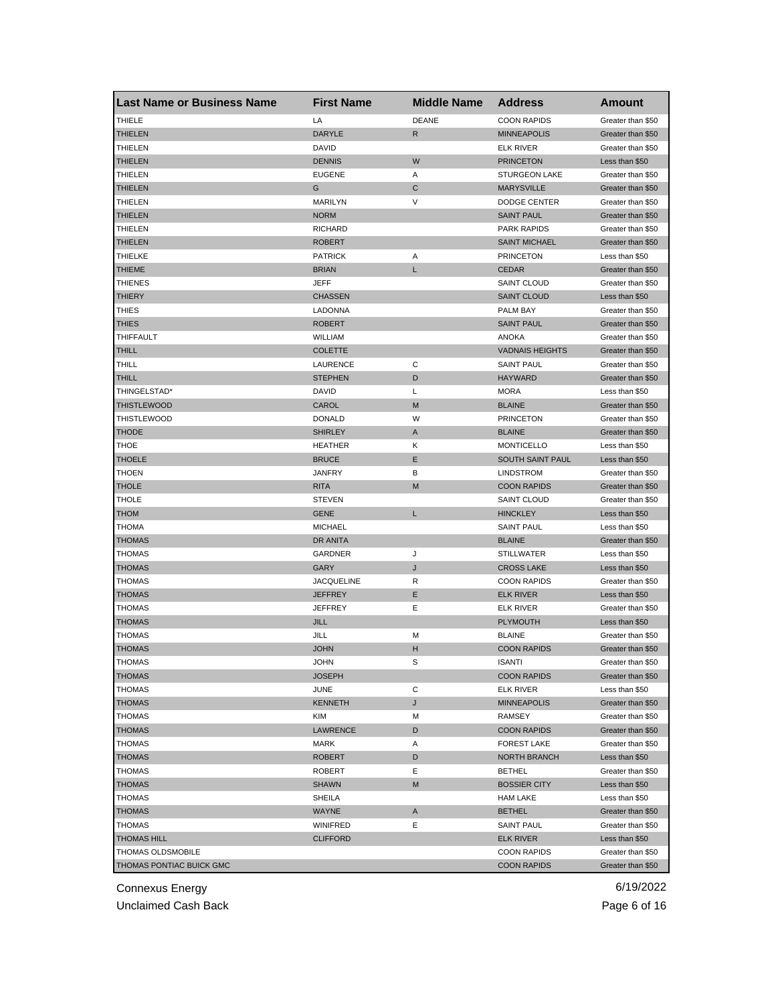| <b>Last Name or Business Name</b> | <b>First Name</b> | <b>Middle Name</b> | <b>Address</b>         | Amount            |
|-----------------------------------|-------------------|--------------------|------------------------|-------------------|
| <b>THIELE</b>                     | LA                | <b>DEANE</b>       | <b>COON RAPIDS</b>     | Greater than \$50 |
| THIELEN                           | <b>DARYLE</b>     | R                  | <b>MINNEAPOLIS</b>     | Greater than \$50 |
| <b>THIELEN</b>                    | DAVID             |                    | <b>ELK RIVER</b>       | Greater than \$50 |
| THIELEN                           | <b>DENNIS</b>     | W                  | <b>PRINCETON</b>       | Less than \$50    |
| <b>THIELEN</b>                    | <b>EUGENE</b>     | Α                  | <b>STURGEON LAKE</b>   | Greater than \$50 |
| <b>THIELEN</b>                    | G                 | C                  | <b>MARYSVILLE</b>      | Greater than \$50 |
| THIELEN                           | MARILYN           | V                  | DODGE CENTER           | Greater than \$50 |
| THIELEN                           | <b>NORM</b>       |                    | <b>SAINT PAUL</b>      | Greater than \$50 |
| THIELEN                           | <b>RICHARD</b>    |                    | <b>PARK RAPIDS</b>     | Greater than \$50 |
| <b>THIELEN</b>                    | <b>ROBERT</b>     |                    | <b>SAINT MICHAEL</b>   | Greater than \$50 |
| THIELKE                           | <b>PATRICK</b>    | Α                  | <b>PRINCETON</b>       | Less than \$50    |
| THIEME                            | <b>BRIAN</b>      | L                  | <b>CEDAR</b>           | Greater than \$50 |
| <b>THIENES</b>                    | JEFF              |                    | <b>SAINT CLOUD</b>     | Greater than \$50 |
| <b>THIERY</b>                     | <b>CHASSEN</b>    |                    | <b>SAINT CLOUD</b>     | Less than \$50    |
| <b>THIES</b>                      | LADONNA           |                    | PALM BAY               | Greater than \$50 |
| THIES                             | <b>ROBERT</b>     |                    | <b>SAINT PAUL</b>      | Greater than \$50 |
| <b>THIFFAULT</b>                  | WILLIAM           |                    | <b>ANOKA</b>           | Greater than \$50 |
| THILL                             | <b>COLETTE</b>    |                    | <b>VADNAIS HEIGHTS</b> | Greater than \$50 |
| THILL                             | LAURENCE          | С                  | <b>SAINT PAUL</b>      | Greater than \$50 |
| <b>THILL</b>                      | <b>STEPHEN</b>    | D                  | <b>HAYWARD</b>         | Greater than \$50 |
| THINGELSTAD*                      | DAVID             | Г                  | <b>MORA</b>            | Less than \$50    |
| <b>THISTLEWOOD</b>                | CAROL             | M                  | <b>BLAINE</b>          | Greater than \$50 |
| <b>THISTLEWOOD</b>                | <b>DONALD</b>     | W                  | <b>PRINCETON</b>       | Greater than \$50 |
| <b>THODE</b>                      | <b>SHIRLEY</b>    | A                  | <b>BLAINE</b>          | Greater than \$50 |
| THOE                              | HEATHER           | Κ                  | <b>MONTICELLO</b>      | Less than \$50    |
| <b>THOELE</b>                     | <b>BRUCE</b>      | Ε                  | SOUTH SAINT PAUL       | Less than \$50    |
| THOEN                             | JANFRY            | В                  | <b>LINDSTROM</b>       | Greater than \$50 |
| <b>THOLE</b>                      | <b>RITA</b>       | M                  | <b>COON RAPIDS</b>     | Greater than \$50 |
| THOLE                             | <b>STEVEN</b>     |                    | SAINT CLOUD            | Greater than \$50 |
| <b>NOHT</b>                       | GENE              | L                  | <b>HINCKLEY</b>        | Less than \$50    |
| <b>THOMA</b>                      | <b>MICHAEL</b>    |                    | <b>SAINT PAUL</b>      | Less than \$50    |
| <b>THOMAS</b>                     | DR ANITA          |                    | <b>BLAINE</b>          | Greater than \$50 |
| <b>THOMAS</b>                     | GARDNER           | J                  | <b>STILLWATER</b>      | Less than \$50    |
| <b>THOMAS</b>                     | GARY              | J                  | <b>CROSS LAKE</b>      | Less than \$50    |
| <b>THOMAS</b>                     | JACQUELINE        | R                  | <b>COON RAPIDS</b>     | Greater than \$50 |
| THOMAS                            | <b>JEFFREY</b>    | Ε                  | <b>ELK RIVER</b>       | Less than \$50    |
|                                   | <b>JEFFREY</b>    | Ε                  |                        | Greater than \$50 |
| THOMAS                            |                   |                    | ELK RIVER              |                   |
| <b>THOMAS</b>                     | JILL              |                    | <b>PLYMOUTH</b>        | Less than \$50    |
| THOMAS                            | JILL              | M                  | <b>BLAINE</b>          | Greater than \$50 |
| <b>THOMAS</b>                     | <b>JOHN</b>       | н                  | <b>COON RAPIDS</b>     | Greater than \$50 |
| THOMAS                            | JOHN              | S                  | ISANTI                 | Greater than \$50 |
| <b>THOMAS</b>                     | <b>JOSEPH</b>     |                    | <b>COON RAPIDS</b>     | Greater than \$50 |
| <b>THOMAS</b>                     | <b>JUNE</b>       | С                  | <b>ELK RIVER</b>       | Less than \$50    |
| <b>THOMAS</b>                     | KENNETH           | J                  | <b>MINNEAPOLIS</b>     | Greater than \$50 |
| <b>THOMAS</b>                     | KIM               | М                  | RAMSEY                 | Greater than \$50 |
| <b>THOMAS</b>                     | LAWRENCE          | D                  | <b>COON RAPIDS</b>     | Greater than \$50 |
| <b>THOMAS</b>                     | MARK              | Α                  | <b>FOREST LAKE</b>     | Greater than \$50 |
| <b>THOMAS</b>                     | <b>ROBERT</b>     | D                  | <b>NORTH BRANCH</b>    | Less than \$50    |
| <b>THOMAS</b>                     | ROBERT            | Е                  | <b>BETHEL</b>          | Greater than \$50 |
| <b>THOMAS</b>                     | <b>SHAWN</b>      | M                  | <b>BOSSIER CITY</b>    | Less than \$50    |
| <b>THOMAS</b>                     | SHEILA            |                    | <b>HAM LAKE</b>        | Less than \$50    |
| <b>THOMAS</b>                     | WAYNE             | A                  | <b>BETHEL</b>          | Greater than \$50 |
| THOMAS                            | WINIFRED          | Е                  | <b>SAINT PAUL</b>      | Greater than \$50 |
| <b>THOMAS HILL</b>                | <b>CLIFFORD</b>   |                    | <b>ELK RIVER</b>       | Less than \$50    |
| THOMAS OLDSMOBILE                 |                   |                    | <b>COON RAPIDS</b>     | Greater than \$50 |
| THOMAS PONTIAC BUICK GMC          |                   |                    | <b>COON RAPIDS</b>     | Greater than \$50 |

Unclaimed Cash Back **Page 6 of 16**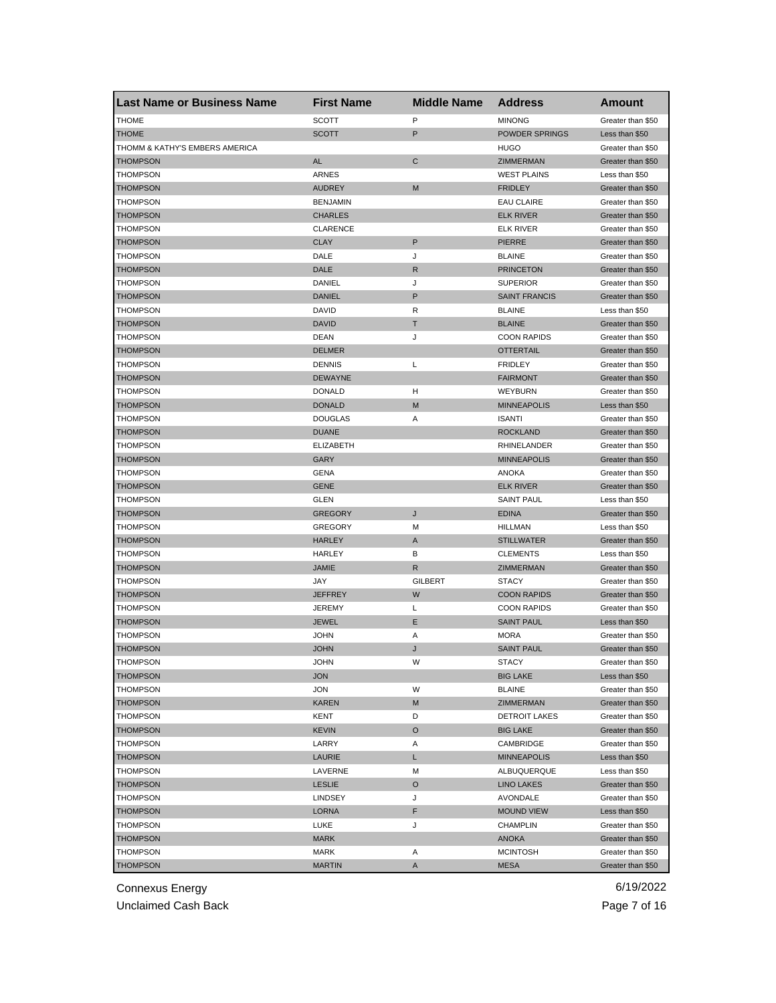| <b>Last Name or Business Name</b> | <b>First Name</b> | <b>Middle Name</b> | <b>Address</b>       | Amount            |
|-----------------------------------|-------------------|--------------------|----------------------|-------------------|
| <b>THOME</b>                      | <b>SCOTT</b>      | P                  | <b>MINONG</b>        | Greater than \$50 |
| <b>THOME</b>                      | <b>SCOTT</b>      | P                  | POWDER SPRINGS       | Less than \$50    |
| THOMM & KATHY'S EMBERS AMERICA    |                   |                    | <b>HUGO</b>          | Greater than \$50 |
| <b>THOMPSON</b>                   | <b>AL</b>         | $\mathbf C$        | ZIMMERMAN            | Greater than \$50 |
| THOMPSON                          | ARNES             |                    | <b>WEST PLAINS</b>   | Less than \$50    |
| <b>THOMPSON</b>                   | <b>AUDREY</b>     | M                  | <b>FRIDLEY</b>       | Greater than \$50 |
| THOMPSON                          | <b>BENJAMIN</b>   |                    | <b>EAU CLAIRE</b>    | Greater than \$50 |
| <b>THOMPSON</b>                   | <b>CHARLES</b>    |                    | <b>ELK RIVER</b>     | Greater than \$50 |
| THOMPSON                          | <b>CLARENCE</b>   |                    | <b>ELK RIVER</b>     | Greater than \$50 |
| <b>THOMPSON</b>                   | <b>CLAY</b>       | P                  | <b>PIERRE</b>        | Greater than \$50 |
| THOMPSON                          | DALE              | J                  | <b>BLAINE</b>        | Greater than \$50 |
| <b>THOMPSON</b>                   | DALE              | $\mathsf{R}$       | <b>PRINCETON</b>     | Greater than \$50 |
| THOMPSON                          | DANIEL            | J                  | <b>SUPERIOR</b>      | Greater than \$50 |
| <b>THOMPSON</b>                   | <b>DANIEL</b>     | P                  | <b>SAINT FRANCIS</b> | Greater than \$50 |
| THOMPSON                          | DAVID             | R                  | <b>BLAINE</b>        | Less than \$50    |
| <b>THOMPSON</b>                   | <b>DAVID</b>      | т                  | <b>BLAINE</b>        | Greater than \$50 |
| <b>THOMPSON</b>                   | DEAN              | J                  | <b>COON RAPIDS</b>   | Greater than \$50 |
| <b>THOMPSON</b>                   | <b>DELMER</b>     |                    | <b>OTTERTAIL</b>     | Greater than \$50 |
| THOMPSON                          | <b>DENNIS</b>     | L                  | <b>FRIDLEY</b>       | Greater than \$50 |
| <b>THOMPSON</b>                   | <b>DEWAYNE</b>    |                    | <b>FAIRMONT</b>      | Greater than \$50 |
| THOMPSON                          | <b>DONALD</b>     | н                  | WEYBURN              | Greater than \$50 |
| <b>THOMPSON</b>                   | <b>DONALD</b>     | M                  | <b>MINNEAPOLIS</b>   | Less than \$50    |
| THOMPSON                          | <b>DOUGLAS</b>    | Α                  | <b>ISANTI</b>        | Greater than \$50 |
| <b>THOMPSON</b>                   | <b>DUANE</b>      |                    | <b>ROCKLAND</b>      | Greater than \$50 |
| THOMPSON                          | <b>ELIZABETH</b>  |                    | RHINELANDER          | Greater than \$50 |
| <b>THOMPSON</b>                   | GARY              |                    | <b>MINNEAPOLIS</b>   | Greater than \$50 |
| THOMPSON                          | GENA              |                    | ANOKA                | Greater than \$50 |
| <b>THOMPSON</b>                   | <b>GENE</b>       |                    | <b>ELK RIVER</b>     | Greater than \$50 |
| THOMPSON                          | GLEN              |                    | <b>SAINT PAUL</b>    | Less than \$50    |
| <b>THOMPSON</b>                   | <b>GREGORY</b>    | J                  | <b>EDINA</b>         | Greater than \$50 |
| <b>THOMPSON</b>                   | <b>GREGORY</b>    | M                  | <b>HILLMAN</b>       | Less than \$50    |
| <b>THOMPSON</b>                   | <b>HARLEY</b>     | A                  | <b>STILLWATER</b>    | Greater than \$50 |
| THOMPSON                          | <b>HARLEY</b>     | В                  | <b>CLEMENTS</b>      | Less than \$50    |
| THOMPSON                          | <b>JAMIE</b>      | R                  | ZIMMERMAN            | Greater than \$50 |
| <b>THOMPSON</b>                   | JAY               | <b>GILBERT</b>     | <b>STACY</b>         | Greater than \$50 |
| <b>THOMPSON</b>                   | <b>JEFFREY</b>    | W                  | <b>COON RAPIDS</b>   | Greater than \$50 |
| <b>THOMPSON</b>                   | <b>JEREMY</b>     | L                  | <b>COON RAPIDS</b>   | Greater than \$50 |
| <b>THOMPSON</b>                   | <b>JEWEL</b>      | Е                  | <b>SAINT PAUL</b>    | Less than \$50    |
| THOMPSON                          | <b>JOHN</b>       | Α                  | <b>MORA</b>          | Greater than \$50 |
| <b>THOMPSON</b>                   | <b>JOHN</b>       | J                  | <b>SAINT PAUL</b>    | Greater than \$50 |
| <b>IHOMPSON</b>                   | <b>JOHN</b>       | w                  | SIACY                | Greater than \$50 |
| <b>THOMPSON</b>                   | <b>JON</b>        |                    | <b>BIG LAKE</b>      | Less than \$50    |
| THOMPSON                          | JON               | W                  | <b>BLAINE</b>        | Greater than \$50 |
| <b>THOMPSON</b>                   | <b>KAREN</b>      | M                  | ZIMMERMAN            | Greater than \$50 |
| <b>THOMPSON</b>                   | KENT              | D                  | <b>DETROIT LAKES</b> | Greater than \$50 |
| <b>THOMPSON</b>                   | <b>KEVIN</b>      | O                  | <b>BIG LAKE</b>      | Greater than \$50 |
| <b>THOMPSON</b>                   | LARRY             | Α                  | CAMBRIDGE            | Greater than \$50 |
| <b>THOMPSON</b>                   | <b>LAURIE</b>     | L                  | <b>MINNEAPOLIS</b>   | Less than \$50    |
|                                   |                   |                    |                      |                   |
| THOMPSON                          | LAVERNE           | М                  | ALBUQUERQUE          | Less than \$50    |
| <b>THOMPSON</b>                   | <b>LESLIE</b>     | O                  | <b>LINO LAKES</b>    | Greater than \$50 |
| THOMPSON                          | <b>LINDSEY</b>    | J                  | AVONDALE             | Greater than \$50 |
| <b>THOMPSON</b>                   | LORNA             | F                  | <b>MOUND VIEW</b>    | Less than \$50    |
| THOMPSON                          | LUKE              | J                  | <b>CHAMPLIN</b>      | Greater than \$50 |
| <b>THOMPSON</b>                   | MARK              |                    | <b>ANOKA</b>         | Greater than \$50 |
| THOMPSON                          | MARK              | Α                  | <b>MCINTOSH</b>      | Greater than \$50 |
| <b>THOMPSON</b>                   | <b>MARTIN</b>     | A                  | <b>MESA</b>          | Greater than \$50 |

Unclaimed Cash Back **Page 7 of 16**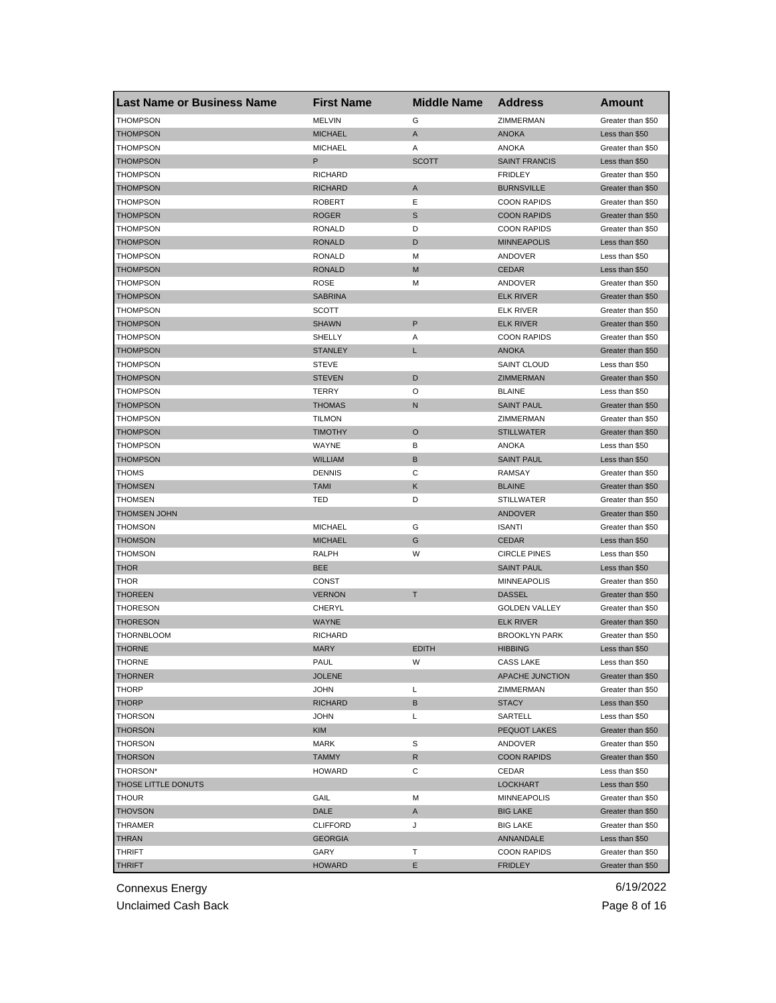| <b>Last Name or Business Name</b> | <b>First Name</b>             | <b>Middle Name</b> | <b>Address</b>               | Amount                              |
|-----------------------------------|-------------------------------|--------------------|------------------------------|-------------------------------------|
| <b>THOMPSON</b>                   | <b>MELVIN</b>                 | G                  | ZIMMERMAN                    | Greater than \$50                   |
| <b>THOMPSON</b>                   | <b>MICHAEL</b>                | A                  | <b>ANOKA</b>                 | Less than \$50                      |
| <b>THOMPSON</b>                   | <b>MICHAEL</b>                | Α                  | <b>ANOKA</b>                 | Greater than \$50                   |
| <b>THOMPSON</b>                   | P                             | <b>SCOTT</b>       | <b>SAINT FRANCIS</b>         | Less than \$50                      |
| <b>THOMPSON</b>                   | <b>RICHARD</b>                |                    | <b>FRIDLEY</b>               | Greater than \$50                   |
| <b>THOMPSON</b>                   | <b>RICHARD</b>                | Α                  | <b>BURNSVILLE</b>            | Greater than \$50                   |
| THOMPSON                          | <b>ROBERT</b>                 | Ε                  | <b>COON RAPIDS</b>           | Greater than \$50                   |
| <b>THOMPSON</b>                   | <b>ROGER</b>                  | S                  | <b>COON RAPIDS</b>           | Greater than \$50                   |
| <b>THOMPSON</b>                   | <b>RONALD</b>                 | D                  | <b>COON RAPIDS</b>           | Greater than \$50                   |
| <b>THOMPSON</b>                   | <b>RONALD</b>                 | D                  | <b>MINNEAPOLIS</b>           | Less than \$50                      |
| THOMPSON                          | <b>RONALD</b>                 | М                  | ANDOVER                      | Less than \$50                      |
| <b>THOMPSON</b>                   | <b>RONALD</b>                 | M                  | <b>CEDAR</b>                 | Less than \$50                      |
| <b>THOMPSON</b>                   | ROSE                          | M                  | ANDOVER                      | Greater than \$50                   |
| <b>THOMPSON</b>                   | <b>SABRINA</b>                |                    | <b>ELK RIVER</b>             | Greater than \$50                   |
| <b>THOMPSON</b>                   | <b>SCOTT</b>                  |                    | <b>ELK RIVER</b>             | Greater than \$50                   |
| <b>THOMPSON</b>                   | <b>SHAWN</b>                  | P                  | <b>ELK RIVER</b>             | Greater than \$50                   |
| <b>THOMPSON</b>                   | SHELLY                        | Α                  | <b>COON RAPIDS</b>           | Greater than \$50                   |
| <b>THOMPSON</b>                   | <b>STANLEY</b>                | Г                  | <b>ANOKA</b>                 | Greater than \$50                   |
| THOMPSON                          | <b>STEVE</b>                  |                    | <b>SAINT CLOUD</b>           | Less than \$50                      |
| <b>THOMPSON</b>                   | <b>STEVEN</b>                 | D                  | ZIMMERMAN                    | Greater than \$50                   |
| <b>THOMPSON</b>                   | TERRY                         | O                  | <b>BLAINE</b>                | Less than \$50                      |
| <b>THOMPSON</b>                   | <b>THOMAS</b>                 | N                  | <b>SAINT PAUL</b>            | Greater than \$50                   |
| THOMPSON                          | <b>TILMON</b>                 |                    | ZIMMERMAN                    | Greater than \$50                   |
| <b>THOMPSON</b>                   | <b>TIMOTHY</b>                | $\circ$            | <b>STILLWATER</b>            | Greater than \$50                   |
| THOMPSON                          | WAYNE                         | в                  | <b>ANOKA</b>                 | Less than \$50                      |
| <b>THOMPSON</b>                   | <b>WILLIAM</b>                | В                  | <b>SAINT PAUL</b>            | Less than \$50                      |
| <b>THOMS</b>                      | <b>DENNIS</b>                 | С                  | RAMSAY                       | Greater than \$50                   |
| <b>THOMSEN</b>                    | <b>TAMI</b>                   | Κ                  | <b>BLAINE</b>                | Greater than \$50                   |
| <b>THOMSEN</b>                    | TED                           | D                  | <b>STILLWATER</b>            | Greater than \$50                   |
| <b>THOMSEN JOHN</b>               |                               |                    | <b>ANDOVER</b>               | Greater than \$50                   |
| <b>THOMSON</b>                    | <b>MICHAEL</b>                | G                  | <b>ISANTI</b>                | Greater than \$50                   |
| <b>THOMSON</b>                    | <b>MICHAEL</b>                | G                  | <b>CEDAR</b>                 | Less than \$50                      |
| <b>THOMSON</b>                    | RALPH                         | W                  | <b>CIRCLE PINES</b>          | Less than \$50                      |
| <b>THOR</b>                       | <b>BEE</b>                    |                    | <b>SAINT PAUL</b>            | Less than \$50                      |
| <b>THOR</b>                       | CONST                         |                    | <b>MINNEAPOLIS</b>           | Greater than \$50                   |
| <b>THOREEN</b>                    | <b>VERNON</b>                 | T                  | <b>DASSEL</b>                | Greater than \$50                   |
| <b>THORESON</b>                   | CHERYL                        |                    | <b>GOLDEN VALLEY</b>         | Greater than \$50                   |
| <b>THORESON</b>                   | WAYNE                         |                    | <b>ELK RIVER</b>             | Greater than \$50                   |
| THORNBLOOM                        | <b>RICHARD</b>                |                    | <b>BROOKLYN PARK</b>         | Greater than \$50                   |
| <b>THORNE</b>                     | <b>MARY</b>                   | <b>EDITH</b>       | <b>HIBBING</b>               | Less than \$50                      |
|                                   |                               |                    |                              |                                     |
| THORNE<br><b>THORNER</b>          | PAUL<br><b>JOLENE</b>         | W                  | CASS LAKE<br>APACHE JUNCTION | Less than \$50<br>Greater than \$50 |
| <b>THORP</b>                      |                               |                    |                              | Greater than \$50                   |
| <b>THORP</b>                      | <b>JOHN</b><br><b>RICHARD</b> | Г<br>B             | ZIMMERMAN                    |                                     |
|                                   |                               |                    | <b>STACY</b>                 | Less than \$50                      |
| <b>THORSON</b>                    | <b>JOHN</b>                   | Г                  | SARTELL                      | Less than \$50                      |
| <b>THORSON</b>                    | <b>KIM</b>                    |                    | <b>PEQUOT LAKES</b>          | Greater than \$50                   |
| <b>THORSON</b>                    | MARK                          | S                  | ANDOVER                      | Greater than \$50                   |
| <b>THORSON</b>                    | <b>TAMMY</b>                  | R                  | <b>COON RAPIDS</b>           | Greater than \$50                   |
| THORSON*                          | <b>HOWARD</b>                 | С                  | CEDAR                        | Less than \$50                      |
| THOSE LITTLE DONUTS               |                               |                    | <b>LOCKHART</b>              | Less than \$50                      |
| <b>THOUR</b>                      | GAIL                          | М                  | <b>MINNEAPOLIS</b>           | Greater than \$50                   |
| <b>THOVSON</b>                    | <b>DALE</b>                   | A                  | <b>BIG LAKE</b>              | Greater than \$50                   |
| THRAMER                           | <b>CLIFFORD</b>               | J                  | <b>BIG LAKE</b>              | Greater than \$50                   |
| <b>THRAN</b>                      | <b>GEORGIA</b>                |                    | ANNANDALE                    | Less than \$50                      |
| THRIFT                            | GARY                          | т                  | <b>COON RAPIDS</b>           | Greater than \$50                   |
| <b>THRIFT</b>                     | <b>HOWARD</b>                 | Е                  | <b>FRIDLEY</b>               | Greater than \$50                   |

Unclaimed Cash Back **Page 8 of 16**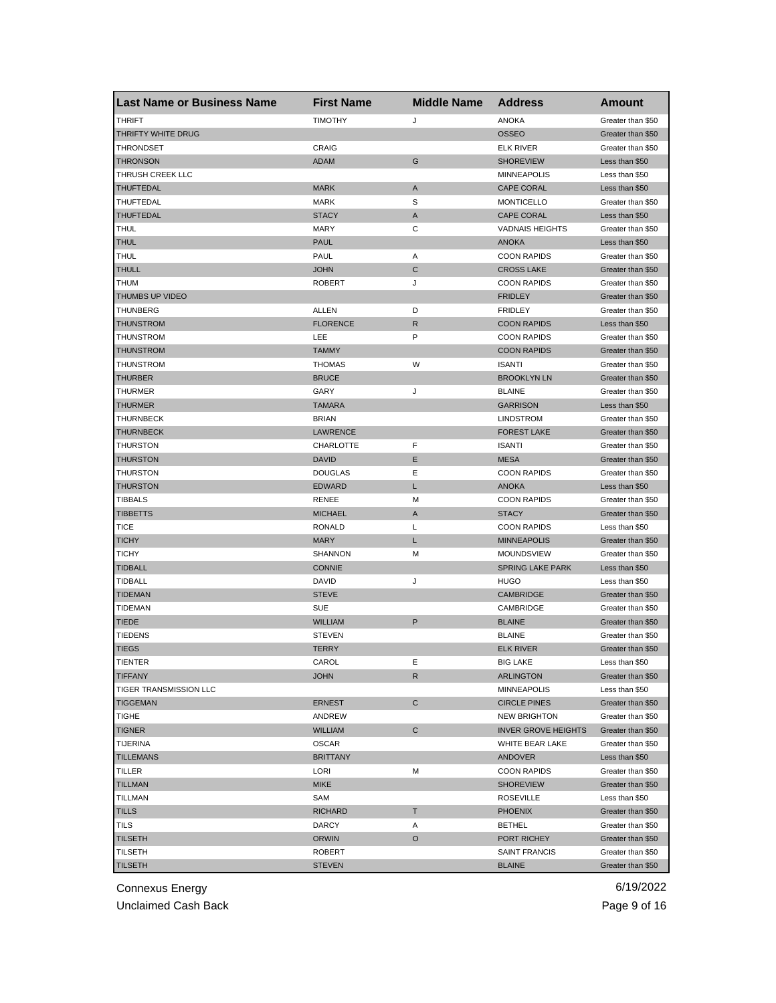| <b>Last Name or Business Name</b> | <b>First Name</b>        | <b>Middle Name</b> | <b>Address</b>                      | Amount            |
|-----------------------------------|--------------------------|--------------------|-------------------------------------|-------------------|
| <b>THRIFT</b>                     | <b>TIMOTHY</b>           | J                  | <b>ANOKA</b>                        | Greater than \$50 |
| THRIFTY WHITE DRUG                |                          |                    | <b>OSSEO</b>                        | Greater than \$50 |
| <b>THRONDSET</b>                  | CRAIG                    |                    | <b>ELK RIVER</b>                    | Greater than \$50 |
| <b>THRONSON</b>                   | ADAM                     | G                  | <b>SHOREVIEW</b>                    | Less than \$50    |
| THRUSH CREEK LLC                  |                          |                    | <b>MINNEAPOLIS</b>                  | Less than \$50    |
| <b>THUFTEDAL</b>                  | <b>MARK</b>              | Α                  | <b>CAPE CORAL</b>                   | Less than \$50    |
| THUFTEDAL                         | MARK                     | S                  | <b>MONTICELLO</b>                   | Greater than \$50 |
| THUFTEDAL                         | <b>STACY</b>             | A                  | <b>CAPE CORAL</b>                   | Less than \$50    |
| THUL                              | <b>MARY</b>              | С                  | <b>VADNAIS HEIGHTS</b>              | Greater than \$50 |
| <b>THUL</b>                       | <b>PAUL</b>              |                    | <b>ANOKA</b>                        | Less than \$50    |
| THUL                              | PAUL                     | Α                  | <b>COON RAPIDS</b>                  | Greater than \$50 |
| <b>THULL</b>                      | <b>JOHN</b>              | C                  | <b>CROSS LAKE</b>                   | Greater than \$50 |
| <b>THUM</b>                       | <b>ROBERT</b>            | J                  | <b>COON RAPIDS</b>                  | Greater than \$50 |
| THUMBS UP VIDEO                   |                          |                    | <b>FRIDLEY</b>                      | Greater than \$50 |
| <b>THUNBERG</b>                   | ALLEN                    | D                  | <b>FRIDLEY</b>                      | Greater than \$50 |
| <b>THUNSTROM</b>                  | <b>FLORENCE</b>          | $\mathsf{R}$       | <b>COON RAPIDS</b>                  | Less than \$50    |
| THUNSTROM                         | LEE                      | P                  | <b>COON RAPIDS</b>                  | Greater than \$50 |
| <b>THUNSTROM</b>                  | <b>TAMMY</b>             |                    | <b>COON RAPIDS</b>                  | Greater than \$50 |
| THUNSTROM                         | <b>THOMAS</b>            | W                  | <b>ISANTI</b>                       | Greater than \$50 |
| <b>THURBER</b>                    | <b>BRUCE</b>             |                    | <b>BROOKLYN LN</b>                  | Greater than \$50 |
| <b>THURMER</b>                    | GARY                     | J                  | <b>BLAINE</b>                       | Greater than \$50 |
| <b>THURMER</b>                    | <b>TAMARA</b>            |                    | <b>GARRISON</b>                     | Less than \$50    |
| THURNBECK                         | <b>BRIAN</b>             |                    | <b>LINDSTROM</b>                    | Greater than \$50 |
| <b>THURNBECK</b>                  | LAWRENCE                 |                    | <b>FOREST LAKE</b>                  | Greater than \$50 |
| THURSTON                          | CHARLOTTE                | F                  | <b>ISANTI</b>                       | Greater than \$50 |
| <b>THURSTON</b>                   | DAVID                    | Е                  | <b>MESA</b>                         | Greater than \$50 |
| THURSTON                          | <b>DOUGLAS</b>           | Ε                  | <b>COON RAPIDS</b>                  | Greater than \$50 |
| <b>THURSTON</b>                   | <b>EDWARD</b>            | L                  | <b>ANOKA</b>                        | Less than \$50    |
| TIBBALS                           | RENEE                    | М                  | <b>COON RAPIDS</b>                  | Greater than \$50 |
| <b>TIBBETTS</b>                   | <b>MICHAEL</b>           | A                  | <b>STACY</b>                        | Greater than \$50 |
| <b>TICE</b>                       | <b>RONALD</b>            | L                  | <b>COON RAPIDS</b>                  | Less than \$50    |
| <b>TICHY</b>                      | <b>MARY</b>              | L                  | <b>MINNEAPOLIS</b>                  | Greater than \$50 |
| <b>TICHY</b>                      | SHANNON                  | м                  | <b>MOUNDSVIEW</b>                   | Greater than \$50 |
| <b>TIDBALL</b>                    | <b>CONNIE</b>            |                    | <b>SPRING LAKE PARK</b>             | Less than \$50    |
| <b>TIDBALL</b>                    | DAVID                    | J                  | <b>HUGO</b>                         | Less than \$50    |
| <b>TIDEMAN</b>                    | <b>STEVE</b>             |                    | <b>CAMBRIDGE</b>                    | Greater than \$50 |
| <b>TIDEMAN</b>                    | <b>SUE</b>               |                    | CAMBRIDGE                           | Greater than \$50 |
| <b>TIEDE</b>                      | <b>WILLIAM</b>           | P                  | <b>BLAINE</b>                       | Greater than \$50 |
| <b>TIEDENS</b>                    | <b>STEVEN</b>            |                    | <b>BLAINE</b>                       | Greater than \$50 |
| <b>TIEGS</b>                      | <b>TERRY</b>             |                    | <b>ELK RIVER</b>                    | Greater than \$50 |
|                                   |                          | Е                  |                                     | Less than \$50    |
| TIENTER<br><b>TIFFANY</b>         | CAROL<br><b>JOHN</b>     | R                  | <b>BIG LAKE</b><br><b>ARLINGTON</b> | Greater than \$50 |
| TIGER TRANSMISSION LLC            |                          |                    | <b>MINNEAPOLIS</b>                  | Less than \$50    |
| <b>TIGGEMAN</b>                   | <b>ERNEST</b>            | C                  | <b>CIRCLE PINES</b>                 | Greater than \$50 |
|                                   |                          |                    | <b>NEW BRIGHTON</b>                 |                   |
| <b>TIGHE</b>                      | ANDREW<br><b>WILLIAM</b> | $\mathsf{C}$       |                                     | Greater than \$50 |
| <b>TIGNER</b>                     | <b>OSCAR</b>             |                    | <b>INVER GROVE HEIGHTS</b>          | Greater than \$50 |
| <b>TIJERINA</b>                   |                          |                    | WHITE BEAR LAKE                     | Greater than \$50 |
| <b>TILLEMANS</b>                  | <b>BRITTANY</b>          |                    | ANDOVER                             | Less than \$50    |
| <b>TILLER</b>                     | LORI                     | М                  | <b>COON RAPIDS</b>                  | Greater than \$50 |
| <b>TILLMAN</b>                    | <b>MIKE</b>              |                    | <b>SHOREVIEW</b>                    | Greater than \$50 |
| <b>TILLMAN</b>                    | SAM                      |                    | <b>ROSEVILLE</b>                    | Less than \$50    |
| <b>TILLS</b>                      | <b>RICHARD</b>           | Τ                  | <b>PHOENIX</b>                      | Greater than \$50 |
| <b>TILS</b>                       | DARCY                    | Α                  | <b>BETHEL</b>                       | Greater than \$50 |
| <b>TILSETH</b>                    | ORWIN                    | O                  | PORT RICHEY                         | Greater than \$50 |
| TILSETH                           | <b>ROBERT</b>            |                    | <b>SAINT FRANCIS</b>                | Greater than \$50 |
| <b>TILSETH</b>                    | <b>STEVEN</b>            |                    | <b>BLAINE</b>                       | Greater than \$50 |

Unclaimed Cash Back **Page 9 of 16**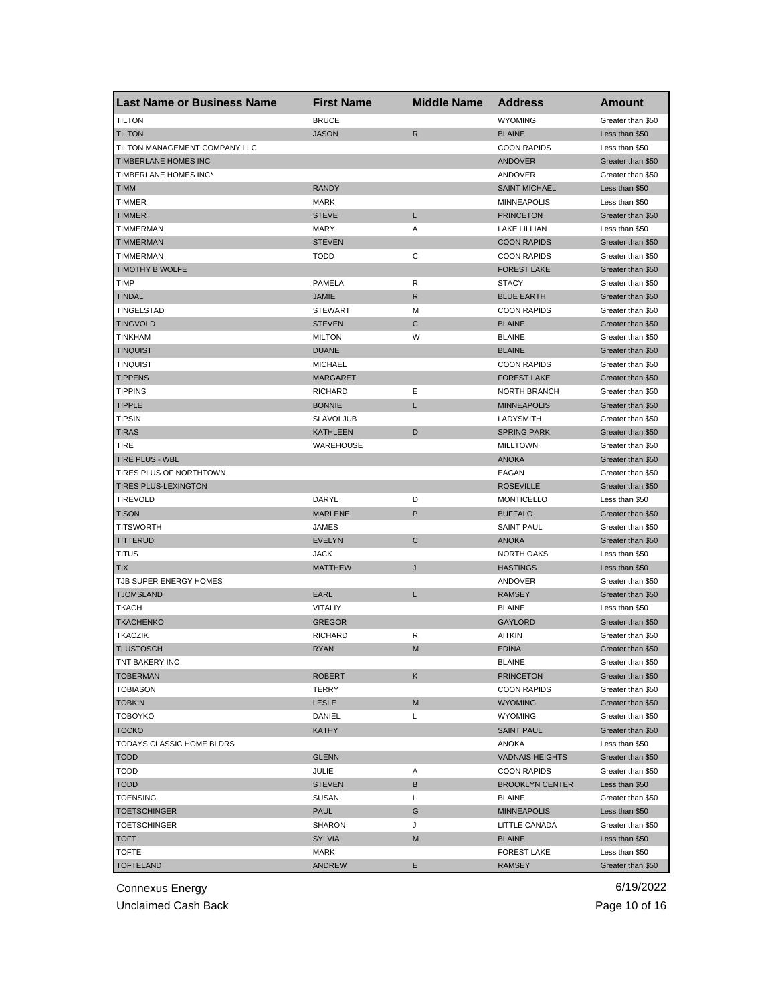| <b>Last Name or Business Name</b> | <b>First Name</b> | <b>Middle Name</b> | <b>Address</b>         | Amount            |
|-----------------------------------|-------------------|--------------------|------------------------|-------------------|
| <b>TILTON</b>                     | <b>BRUCE</b>      |                    | <b>WYOMING</b>         | Greater than \$50 |
| <b>TILTON</b>                     | <b>JASON</b>      | $\mathsf{R}$       | <b>BLAINE</b>          | Less than \$50    |
| TILTON MANAGEMENT COMPANY LLC     |                   |                    | <b>COON RAPIDS</b>     | Less than \$50    |
| TIMBERLANE HOMES INC              |                   |                    | <b>ANDOVER</b>         | Greater than \$50 |
| TIMBERLANE HOMES INC*             |                   |                    | ANDOVER                | Greater than \$50 |
| <b>TIMM</b>                       | <b>RANDY</b>      |                    | <b>SAINT MICHAEL</b>   | Less than \$50    |
| TIMMER                            | <b>MARK</b>       |                    | <b>MINNEAPOLIS</b>     | Less than \$50    |
| <b>TIMMER</b>                     | <b>STEVE</b>      | L                  | <b>PRINCETON</b>       | Greater than \$50 |
| TIMMERMAN                         | <b>MARY</b>       | Α                  | LAKE LILLIAN           | Less than \$50    |
| <b>TIMMERMAN</b>                  | <b>STEVEN</b>     |                    | <b>COON RAPIDS</b>     | Greater than \$50 |
| TIMMERMAN                         | <b>TODD</b>       | С                  | <b>COON RAPIDS</b>     | Greater than \$50 |
| <b>TIMOTHY B WOLFE</b>            |                   |                    | <b>FOREST LAKE</b>     | Greater than \$50 |
| <b>TIMP</b>                       | PAMELA            | R                  | <b>STACY</b>           | Greater than \$50 |
| <b>TINDAL</b>                     | <b>JAMIE</b>      | $\mathsf{R}$       | <b>BLUE EARTH</b>      | Greater than \$50 |
| TINGELSTAD                        | <b>STEWART</b>    | M                  | <b>COON RAPIDS</b>     | Greater than \$50 |
| <b>TINGVOLD</b>                   | <b>STEVEN</b>     | C                  | <b>BLAINE</b>          | Greater than \$50 |
| <b>TINKHAM</b>                    | <b>MILTON</b>     | W                  | <b>BLAINE</b>          | Greater than \$50 |
| <b>TINQUIST</b>                   | <b>DUANE</b>      |                    | <b>BLAINE</b>          | Greater than \$50 |
| <b>TINQUIST</b>                   | <b>MICHAEL</b>    |                    | <b>COON RAPIDS</b>     | Greater than \$50 |
| <b>TIPPENS</b>                    | <b>MARGARET</b>   |                    | <b>FOREST LAKE</b>     | Greater than \$50 |
| <b>TIPPINS</b>                    | <b>RICHARD</b>    | Ε                  | <b>NORTH BRANCH</b>    | Greater than \$50 |
| <b>TIPPLE</b>                     | <b>BONNIE</b>     | L                  | <b>MINNEAPOLIS</b>     | Greater than \$50 |
| <b>TIPSIN</b>                     | <b>SLAVOLJUB</b>  |                    | LADYSMITH              | Greater than \$50 |
| <b>TIRAS</b>                      | <b>KATHLEEN</b>   | D                  | <b>SPRING PARK</b>     | Greater than \$50 |
| TIRE                              | <b>WAREHOUSE</b>  |                    | <b>MILLTOWN</b>        | Greater than \$50 |
| TIRE PLUS - WBL                   |                   |                    | <b>ANOKA</b>           | Greater than \$50 |
| TIRES PLUS OF NORTHTOWN           |                   |                    | EAGAN                  | Greater than \$50 |
| <b>TIRES PLUS-LEXINGTON</b>       |                   |                    | <b>ROSEVILLE</b>       | Greater than \$50 |
| <b>TIREVOLD</b>                   | DARYL             | D                  | <b>MONTICELLO</b>      | Less than \$50    |
| <b>TISON</b>                      | <b>MARLENE</b>    | P                  | <b>BUFFALO</b>         | Greater than \$50 |
| <b>TITSWORTH</b>                  | JAMES             |                    | <b>SAINT PAUL</b>      | Greater than \$50 |
| <b>TITTERUD</b>                   | <b>EVELYN</b>     | $\mathbf C$        | <b>ANOKA</b>           | Greater than \$50 |
| <b>TITUS</b>                      | <b>JACK</b>       |                    | <b>NORTH OAKS</b>      | Less than \$50    |
| TIX                               | <b>MATTHEW</b>    | J                  | <b>HASTINGS</b>        | Less than \$50    |
| TJB SUPER ENERGY HOMES            |                   |                    | ANDOVER                | Greater than \$50 |
| <b>TJOMSLAND</b>                  | EARL              | L                  | <b>RAMSEY</b>          | Greater than \$50 |
| <b>TKACH</b>                      | VITALIY           |                    | <b>BLAINE</b>          | Less than \$50    |
| <b>TKACHENKO</b>                  | <b>GREGOR</b>     |                    | <b>GAYLORD</b>         | Greater than \$50 |
| <b>TKACZIK</b>                    | <b>RICHARD</b>    | R                  | <b>AITKIN</b>          | Greater than \$50 |
| <b>TLUSTOSCH</b>                  | <b>RYAN</b>       | M                  | <b>EDINA</b>           | Greater than \$50 |
| TNT BAKERY INC                    |                   |                    | <b>BLAINE</b>          | Greater than \$50 |
| <b>TOBERMAN</b>                   | <b>ROBERT</b>     | Κ                  | <b>PRINCETON</b>       | Greater than \$50 |
| <b>TOBIASON</b>                   | TERRY             |                    | <b>COON RAPIDS</b>     | Greater than \$50 |
| <b>TOBKIN</b>                     | LESLE             | M                  | <b>WYOMING</b>         | Greater than \$50 |
| <b>TOBOYKO</b>                    | DANIEL            | Г                  | <b>WYOMING</b>         | Greater than \$50 |
| <b>TOCKO</b>                      | KATHY             |                    | <b>SAINT PAUL</b>      | Greater than \$50 |
| TODAYS CLASSIC HOME BLDRS         |                   |                    | ANOKA                  | Less than \$50    |
| <b>TODD</b>                       | <b>GLENN</b>      |                    | <b>VADNAIS HEIGHTS</b> | Greater than \$50 |
| <b>TODD</b>                       | JULIE             | Α                  | <b>COON RAPIDS</b>     | Greater than \$50 |
| <b>TODD</b>                       | <b>STEVEN</b>     | В                  | <b>BROOKLYN CENTER</b> | Less than \$50    |
| <b>TOENSING</b>                   | SUSAN             | L                  | <b>BLAINE</b>          | Greater than \$50 |
| <b>TOETSCHINGER</b>               | <b>PAUL</b>       | G                  | <b>MINNEAPOLIS</b>     | Less than \$50    |
| <b>TOETSCHINGER</b>               | SHARON            | J                  | LITTLE CANADA          | Greater than \$50 |
| <b>TOFT</b>                       | SYLVIA            | M                  | <b>BLAINE</b>          | Less than \$50    |
| <b>TOFTE</b>                      | MARK              |                    | <b>FOREST LAKE</b>     | Less than \$50    |
| <b>TOFTELAND</b>                  | <b>ANDREW</b>     | Е                  | <b>RAMSEY</b>          | Greater than \$50 |

Unclaimed Cash Back **Page 10 of 16**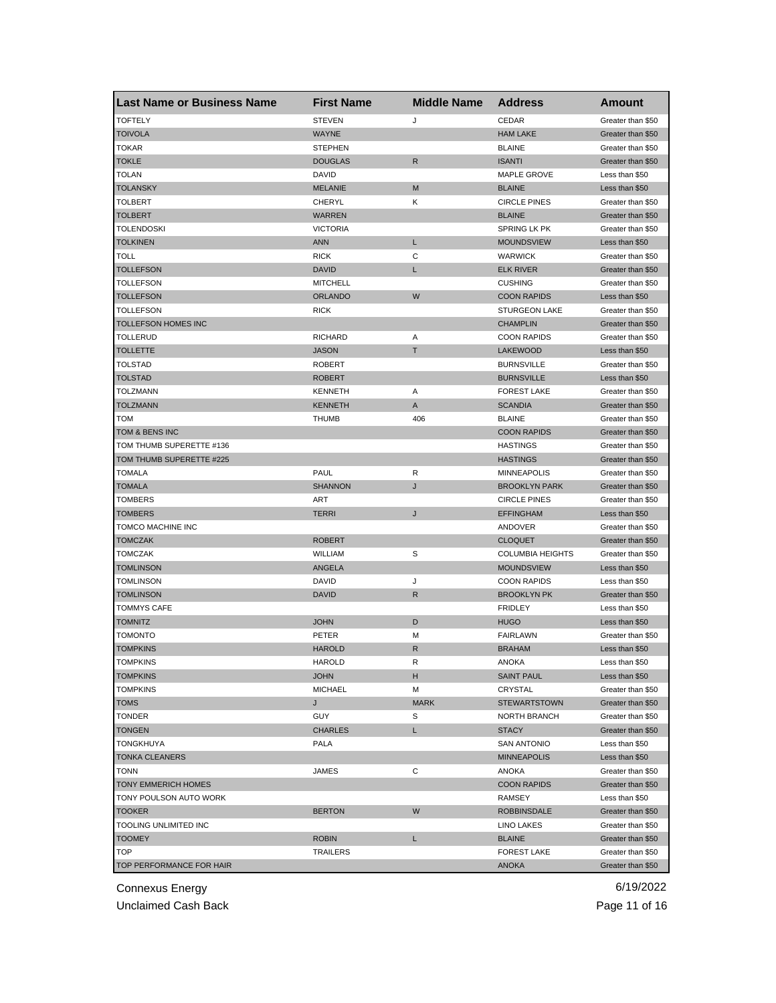| <b>Last Name or Business Name</b> | <b>First Name</b> | <b>Middle Name</b> | <b>Address</b>          | Amount            |
|-----------------------------------|-------------------|--------------------|-------------------------|-------------------|
| <b>TOFTELY</b>                    | <b>STEVEN</b>     | J                  | CEDAR                   | Greater than \$50 |
| <b>TOIVOLA</b>                    | <b>WAYNE</b>      |                    | <b>HAM LAKE</b>         | Greater than \$50 |
| <b>TOKAR</b>                      | <b>STEPHEN</b>    |                    | <b>BLAINE</b>           | Greater than \$50 |
| TOKLE                             | <b>DOUGLAS</b>    | $\mathsf{R}$       | <b>ISANTI</b>           | Greater than \$50 |
| <b>TOLAN</b>                      | DAVID             |                    | MAPLE GROVE             | Less than \$50    |
| <b>TOLANSKY</b>                   | <b>MELANIE</b>    | M                  | <b>BLAINE</b>           | Less than \$50    |
| TOLBERT                           | CHERYL            | Κ                  | <b>CIRCLE PINES</b>     | Greater than \$50 |
| TOLBERT                           | <b>WARREN</b>     |                    | <b>BLAINE</b>           | Greater than \$50 |
| <b>TOLENDOSKI</b>                 | <b>VICTORIA</b>   |                    | SPRING LK PK            | Greater than \$50 |
| <b>TOLKINEN</b>                   | <b>ANN</b>        | L                  | <b>MOUNDSVIEW</b>       | Less than \$50    |
| <b>TOLL</b>                       | <b>RICK</b>       | C                  | <b>WARWICK</b>          | Greater than \$50 |
| <b>TOLLEFSON</b>                  | <b>DAVID</b>      | L                  | <b>ELK RIVER</b>        | Greater than \$50 |
| TOLLEFSON                         | <b>MITCHELL</b>   |                    | <b>CUSHING</b>          | Greater than \$50 |
| <b>TOLLEFSON</b>                  | <b>ORLANDO</b>    | W                  | <b>COON RAPIDS</b>      | Less than \$50    |
| TOLLEFSON                         | <b>RICK</b>       |                    | <b>STURGEON LAKE</b>    | Greater than \$50 |
| TOLLEFSON HOMES INC               |                   |                    | <b>CHAMPLIN</b>         | Greater than \$50 |
| <b>TOLLERUD</b>                   | <b>RICHARD</b>    | Α                  | <b>COON RAPIDS</b>      | Greater than \$50 |
| TOLLETTE                          | <b>JASON</b>      | T                  | <b>LAKEWOOD</b>         | Less than \$50    |
| <b>TOLSTAD</b>                    | <b>ROBERT</b>     |                    | <b>BURNSVILLE</b>       | Greater than \$50 |
| <b>TOLSTAD</b>                    | <b>ROBERT</b>     |                    | <b>BURNSVILLE</b>       | Less than \$50    |
| TOLZMANN                          | <b>KENNETH</b>    | Α                  | <b>FOREST LAKE</b>      | Greater than \$50 |
| <b>TOLZMANN</b>                   | <b>KENNETH</b>    | A                  | <b>SCANDIA</b>          | Greater than \$50 |
| TOM                               | <b>THUMB</b>      | 406                | <b>BLAINE</b>           | Greater than \$50 |
| TOM & BENS INC                    |                   |                    | <b>COON RAPIDS</b>      | Greater than \$50 |
| TOM THUMB SUPERETTE #136          |                   |                    | <b>HASTINGS</b>         | Greater than \$50 |
| TOM THUMB SUPERETTE #225          |                   |                    | <b>HASTINGS</b>         | Greater than \$50 |
| TOMALA                            | PAUL              | R                  | <b>MINNEAPOLIS</b>      | Greater than \$50 |
| <b>TOMALA</b>                     | <b>SHANNON</b>    | J                  | <b>BROOKLYN PARK</b>    | Greater than \$50 |
| TOMBERS                           | ART               |                    | <b>CIRCLE PINES</b>     | Greater than \$50 |
| <b>TOMBERS</b>                    | <b>TERRI</b>      | J                  | <b>EFFINGHAM</b>        | Less than \$50    |
| TOMCO MACHINE INC                 |                   |                    | ANDOVER                 | Greater than \$50 |
| <b>TOMCZAK</b>                    | <b>ROBERT</b>     |                    | <b>CLOQUET</b>          | Greater than \$50 |
| <b>TOMCZAK</b>                    | WILLIAM           | S                  | <b>COLUMBIA HEIGHTS</b> | Greater than \$50 |
| <b>TOMLINSON</b>                  | ANGELA            |                    | <b>MOUNDSVIEW</b>       | Less than \$50    |
| <b>TOMLINSON</b>                  | DAVID             | J                  | <b>COON RAPIDS</b>      | Less than \$50    |
| <b>TOMLINSON</b>                  | <b>DAVID</b>      | R                  | <b>BROOKLYN PK</b>      | Greater than \$50 |
| <b>TOMMYS CAFE</b>                |                   |                    | <b>FRIDLEY</b>          | Less than \$50    |
| <b>TOMNITZ</b>                    | <b>JOHN</b>       | D                  | <b>HUGO</b>             | Less than \$50    |
| TOMONTO                           | PETER             | M                  | <b>FAIRLAWN</b>         | Greater than \$50 |
| <b>TOMPKINS</b>                   | <b>HAROLD</b>     | R                  | <b>BRAHAM</b>           | Less than \$50    |
| <b>IOMPKINS</b>                   | HAROLD            | к                  | ANOKA                   | Less than \$50    |
| <b>TOMPKINS</b>                   | <b>JOHN</b>       | н                  | <b>SAINT PAUL</b>       | Less than \$50    |
| <b>TOMPKINS</b>                   | <b>MICHAEL</b>    | М                  | CRYSTAL                 | Greater than \$50 |
| TOMS                              | J                 | <b>MARK</b>        | <b>STEWARTSTOWN</b>     | Greater than \$50 |
| TONDER                            | <b>GUY</b>        | S                  | NORTH BRANCH            | Greater than \$50 |
| <b>TONGEN</b>                     | <b>CHARLES</b>    | L                  | <b>STACY</b>            | Greater than \$50 |
| <b>TONGKHUYA</b>                  | PALA              |                    | <b>SAN ANTONIO</b>      | Less than \$50    |
| <b>TONKA CLEANERS</b>             |                   |                    | <b>MINNEAPOLIS</b>      | Less than \$50    |
| <b>TONN</b>                       | JAMES             | С                  | ANOKA                   | Greater than \$50 |
| TONY EMMERICH HOMES               |                   |                    | <b>COON RAPIDS</b>      | Greater than \$50 |
| TONY POULSON AUTO WORK            |                   |                    | RAMSEY                  | Less than \$50    |
| <b>TOOKER</b>                     | <b>BERTON</b>     | W                  | <b>ROBBINSDALE</b>      | Greater than \$50 |
| TOOLING UNLIMITED INC             |                   |                    |                         | Greater than \$50 |
|                                   |                   |                    | LINO LAKES              |                   |
| <b>TOOMEY</b>                     | <b>ROBIN</b>      | L                  | <b>BLAINE</b>           | Greater than \$50 |
| <b>TOP</b>                        | <b>TRAILERS</b>   |                    | <b>FOREST LAKE</b>      | Greater than \$50 |
| TOP PERFORMANCE FOR HAIR          |                   |                    | <b>ANOKA</b>            | Greater than \$50 |

Unclaimed Cash Back **Page 11 of 16**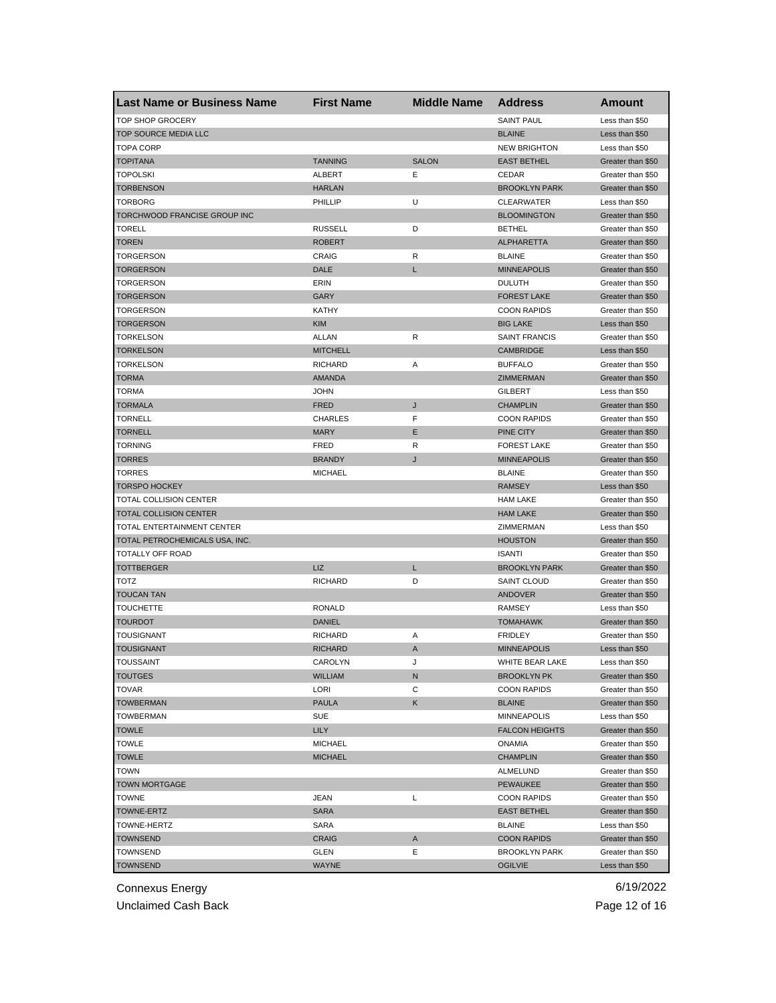| <b>Last Name or Business Name</b> | <b>First Name</b> | <b>Middle Name</b> | <b>Address</b>        | Amount            |
|-----------------------------------|-------------------|--------------------|-----------------------|-------------------|
| <b>TOP SHOP GROCERY</b>           |                   |                    | <b>SAINT PAUL</b>     | Less than \$50    |
| TOP SOURCE MEDIA LLC              |                   |                    | <b>BLAINE</b>         | Less than \$50    |
| <b>TOPA CORP</b>                  |                   |                    | <b>NEW BRIGHTON</b>   | Less than \$50    |
| <b>TOPITANA</b>                   | <b>TANNING</b>    | <b>SALON</b>       | <b>EAST BETHEL</b>    | Greater than \$50 |
| <b>TOPOLSKI</b>                   | ALBERT            | Е                  | CEDAR                 | Greater than \$50 |
| <b>TORBENSON</b>                  | <b>HARLAN</b>     |                    | <b>BROOKLYN PARK</b>  | Greater than \$50 |
| TORBORG                           | PHILLIP           | U                  | <b>CLEARWATER</b>     | Less than \$50    |
| TORCHWOOD FRANCISE GROUP INC      |                   |                    | <b>BLOOMINGTON</b>    | Greater than \$50 |
| <b>TORELL</b>                     | <b>RUSSELL</b>    | D                  | <b>BETHEL</b>         | Greater than \$50 |
| <b>TOREN</b>                      | <b>ROBERT</b>     |                    | <b>ALPHARETTA</b>     | Greater than \$50 |
| TORGERSON                         | CRAIG             | R                  | <b>BLAINE</b>         | Greater than \$50 |
| <b>TORGERSON</b>                  | DALE              | L                  | <b>MINNEAPOLIS</b>    | Greater than \$50 |
| <b>TORGERSON</b>                  | ERIN              |                    | <b>DULUTH</b>         | Greater than \$50 |
| <b>TORGERSON</b>                  | GARY              |                    | <b>FOREST LAKE</b>    | Greater than \$50 |
| TORGERSON                         | KATHY             |                    | <b>COON RAPIDS</b>    | Greater than \$50 |
| <b>TORGERSON</b>                  | <b>KIM</b>        |                    | <b>BIG LAKE</b>       | Less than \$50    |
| TORKELSON                         | ALLAN             | R                  | <b>SAINT FRANCIS</b>  | Greater than \$50 |
| <b>TORKELSON</b>                  | <b>MITCHELL</b>   |                    | <b>CAMBRIDGE</b>      | Less than \$50    |
| <b>TORKELSON</b>                  | <b>RICHARD</b>    | Α                  | <b>BUFFALO</b>        | Greater than \$50 |
| <b>TORMA</b>                      | <b>AMANDA</b>     |                    | ZIMMERMAN             | Greater than \$50 |
| TORMA                             | <b>JOHN</b>       |                    | <b>GILBERT</b>        | Less than \$50    |
| <b>TORMALA</b>                    | <b>FRED</b>       | J                  | <b>CHAMPLIN</b>       | Greater than \$50 |
| TORNELL                           | <b>CHARLES</b>    | F                  | <b>COON RAPIDS</b>    | Greater than \$50 |
| <b>TORNELL</b>                    | <b>MARY</b>       | E                  |                       | Greater than \$50 |
|                                   | FRED              | R                  | PINE CITY             |                   |
| TORNING                           |                   |                    | <b>FOREST LAKE</b>    | Greater than \$50 |
| <b>TORRES</b>                     | <b>BRANDY</b>     | J                  | <b>MINNEAPOLIS</b>    | Greater than \$50 |
| <b>TORRES</b>                     | <b>MICHAEL</b>    |                    | <b>BLAINE</b>         | Greater than \$50 |
| <b>TORSPO HOCKEY</b>              |                   |                    | <b>RAMSEY</b>         | Less than \$50    |
| TOTAL COLLISION CENTER            |                   |                    | <b>HAM LAKE</b>       | Greater than \$50 |
| TOTAL COLLISION CENTER            |                   |                    | <b>HAM LAKE</b>       | Greater than \$50 |
| TOTAL ENTERTAINMENT CENTER        |                   |                    | ZIMMERMAN             | Less than \$50    |
| TOTAL PETROCHEMICALS USA, INC.    |                   |                    | <b>HOUSTON</b>        | Greater than \$50 |
| TOTALLY OFF ROAD                  |                   |                    | <b>ISANTI</b>         | Greater than \$50 |
| <b>TOTTBERGER</b>                 | LIZ               | Г                  | <b>BROOKLYN PARK</b>  | Greater than \$50 |
| TOTZ                              | <b>RICHARD</b>    | D                  | <b>SAINT CLOUD</b>    | Greater than \$50 |
| <b>TOUCAN TAN</b>                 |                   |                    | ANDOVER               | Greater than \$50 |
| TOUCHETTE                         | <b>RONALD</b>     |                    | <b>RAMSEY</b>         | Less than \$50    |
| <b>TOURDOT</b>                    | <b>DANIEL</b>     |                    | <b>TOMAHAWK</b>       | Greater than \$50 |
| TOUSIGNANT                        | <b>RICHARD</b>    | Α                  | <b>FRIDLEY</b>        | Greater than \$50 |
| TOUSIGNANT                        | <b>RICHARD</b>    | A                  | <b>MINNEAPOLIS</b>    | Less than \$50    |
| <b>TOUSSAINT</b>                  | CAROLYN           | J                  | WHITE BEAR LAKE       | Less than \$50    |
| <b>TOUTGES</b>                    | <b>WILLIAM</b>    | N                  | <b>BROOKLYN PK</b>    | Greater than \$50 |
| <b>TOVAR</b>                      | LORI              | С                  | <b>COON RAPIDS</b>    | Greater than \$50 |
| <b>TOWBERMAN</b>                  | <b>PAULA</b>      | Κ                  | <b>BLAINE</b>         | Greater than \$50 |
| <b>TOWBERMAN</b>                  | <b>SUE</b>        |                    | <b>MINNEAPOLIS</b>    | Less than \$50    |
| <b>TOWLE</b>                      | <b>LILY</b>       |                    | <b>FALCON HEIGHTS</b> | Greater than \$50 |
| <b>TOWLE</b>                      | <b>MICHAEL</b>    |                    | ONAMIA                | Greater than \$50 |
| <b>TOWLE</b>                      | <b>MICHAEL</b>    |                    | <b>CHAMPLIN</b>       | Greater than \$50 |
| <b>TOWN</b>                       |                   |                    | ALMELUND              | Greater than \$50 |
| <b>TOWN MORTGAGE</b>              |                   |                    | <b>PEWAUKEE</b>       | Greater than \$50 |
| TOWNE                             | JEAN              | Г                  | <b>COON RAPIDS</b>    | Greater than \$50 |
| TOWNE-ERTZ                        | <b>SARA</b>       |                    | <b>EAST BETHEL</b>    | Greater than \$50 |
| TOWNE-HERTZ                       | SARA              |                    | <b>BLAINE</b>         | Less than \$50    |
| TOWNSEND                          | <b>CRAIG</b>      | A                  | <b>COON RAPIDS</b>    | Greater than \$50 |
| TOWNSEND                          | GLEN              | Ε                  | <b>BROOKLYN PARK</b>  | Greater than \$50 |
| <b>TOWNSEND</b>                   | WAYNE             |                    | <b>OGILVIE</b>        | Less than \$50    |

Unclaimed Cash Back **Page 12 of 16**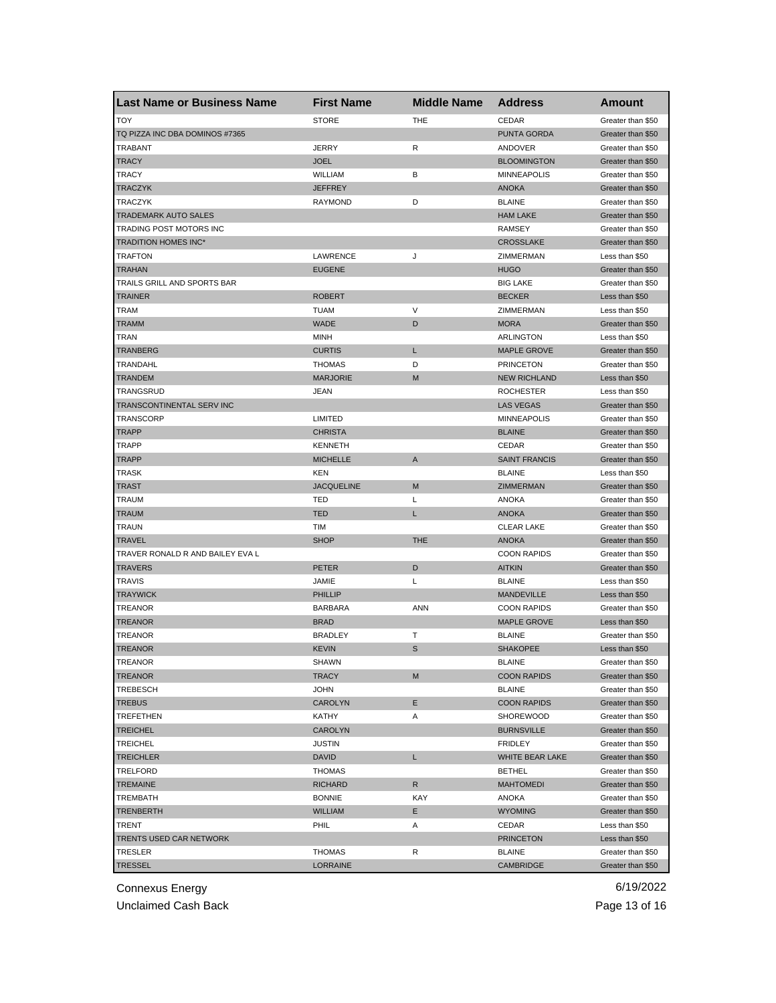| <b>Last Name or Business Name</b> | <b>First Name</b> | <b>Middle Name</b> | <b>Address</b>                    | <b>Amount</b>     |
|-----------------------------------|-------------------|--------------------|-----------------------------------|-------------------|
| <b>TOY</b>                        | <b>STORE</b>      | THE                | CEDAR                             | Greater than \$50 |
| TQ PIZZA INC DBA DOMINOS #7365    |                   |                    | <b>PUNTA GORDA</b>                | Greater than \$50 |
| <b>TRABANT</b>                    | <b>JERRY</b>      | R                  | ANDOVER                           | Greater than \$50 |
| <b>TRACY</b>                      | <b>JOEL</b>       |                    | <b>BLOOMINGTON</b>                | Greater than \$50 |
| <b>TRACY</b>                      | WILLIAM           | В                  | <b>MINNEAPOLIS</b>                | Greater than \$50 |
| <b>TRACZYK</b>                    | <b>JEFFREY</b>    |                    | <b>ANOKA</b>                      | Greater than \$50 |
| TRACZYK                           | <b>RAYMOND</b>    | D                  | <b>BLAINE</b>                     | Greater than \$50 |
| TRADEMARK AUTO SALES              |                   |                    | <b>HAM LAKE</b>                   | Greater than \$50 |
| TRADING POST MOTORS INC           |                   |                    | <b>RAMSEY</b>                     | Greater than \$50 |
| TRADITION HOMES INC*              |                   |                    | <b>CROSSLAKE</b>                  | Greater than \$50 |
| TRAFTON                           | LAWRENCE          | J                  | ZIMMERMAN                         | Less than \$50    |
| TRAHAN                            | <b>EUGENE</b>     |                    | <b>HUGO</b>                       | Greater than \$50 |
| TRAILS GRILL AND SPORTS BAR       |                   |                    | <b>BIG LAKE</b>                   | Greater than \$50 |
| <b>TRAINER</b>                    | <b>ROBERT</b>     |                    | <b>BECKER</b>                     | Less than \$50    |
| <b>TRAM</b>                       | <b>TUAM</b>       | V                  | ZIMMERMAN                         | Less than \$50    |
| <b>TRAMM</b>                      | <b>WADE</b>       | D                  | <b>MORA</b>                       | Greater than \$50 |
| TRAN                              | <b>MINH</b>       |                    | <b>ARLINGTON</b>                  | Less than \$50    |
| TRANBERG                          | <b>CURTIS</b>     | L                  | <b>MAPLE GROVE</b>                | Greater than \$50 |
| TRANDAHL                          | <b>THOMAS</b>     | D                  | <b>PRINCETON</b>                  | Greater than \$50 |
| <b>TRANDEM</b>                    | <b>MARJORIE</b>   | M                  | <b>NEW RICHLAND</b>               | Less than \$50    |
| TRANGSRUD                         | <b>JEAN</b>       |                    | <b>ROCHESTER</b>                  | Less than \$50    |
| TRANSCONTINENTAL SERV INC         |                   |                    | <b>LAS VEGAS</b>                  | Greater than \$50 |
| TRANSCORP                         | <b>LIMITED</b>    |                    | <b>MINNEAPOLIS</b>                | Greater than \$50 |
| <b>TRAPP</b>                      | <b>CHRISTA</b>    |                    | <b>BLAINE</b>                     | Greater than \$50 |
| TRAPP                             | <b>KENNETH</b>    |                    | CEDAR                             | Greater than \$50 |
| TRAPP                             | <b>MICHELLE</b>   | A                  | <b>SAINT FRANCIS</b>              | Greater than \$50 |
| TRASK                             | KEN               |                    | <b>BLAINE</b>                     | Less than \$50    |
| <b>TRAST</b>                      | <b>JACQUELINE</b> | M                  | ZIMMERMAN                         | Greater than \$50 |
| TRAUM                             | TED               | Г                  | ANOKA                             | Greater than \$50 |
| TRAUM                             | <b>TED</b>        | L                  | <b>ANOKA</b>                      | Greater than \$50 |
|                                   | TIM               |                    |                                   |                   |
| TRAUN<br><b>TRAVEL</b>            | <b>SHOP</b>       | <b>THE</b>         | <b>CLEAR LAKE</b><br><b>ANOKA</b> | Greater than \$50 |
|                                   |                   |                    |                                   | Greater than \$50 |
| TRAVER RONALD R AND BAILEY EVA L  |                   | D                  | <b>COON RAPIDS</b>                | Greater than \$50 |
| <b>TRAVERS</b><br><b>TRAVIS</b>   | <b>PETER</b>      |                    | <b>AITKIN</b>                     | Greater than \$50 |
|                                   | JAMIE             | Г                  | <b>BLAINE</b>                     | Less than \$50    |
| <b>TRAYWICK</b>                   | <b>PHILLIP</b>    |                    | MANDEVILLE                        | Less than \$50    |
| <b>TREANOR</b>                    | <b>BARBARA</b>    | <b>ANN</b>         | <b>COON RAPIDS</b>                | Greater than \$50 |
| TREANOR                           | <b>BRAD</b>       |                    | <b>MAPLE GROVE</b>                | Less than \$50    |
| TREANOR                           | <b>BRADLEY</b>    | т                  | <b>BLAINE</b>                     | Greater than \$50 |
| <b>TREANOR</b>                    | <b>KEVIN</b>      | S                  | <b>SHAKOPEE</b>                   | Less than \$50    |
| TREANOR                           | SHAWN             |                    | BLAINE                            | Greater than \$50 |
| <b>TREANOR</b>                    | <b>TRACY</b>      | M                  | <b>COON RAPIDS</b>                | Greater than \$50 |
| TREBESCH                          | <b>JOHN</b>       |                    | <b>BLAINE</b>                     | Greater than \$50 |
| <b>TREBUS</b>                     | CAROLYN           | Ε                  | <b>COON RAPIDS</b>                | Greater than \$50 |
| TREFETHEN                         | KATHY             | Α                  | SHOREWOOD                         | Greater than \$50 |
| <b>TREICHEL</b>                   | CAROLYN           |                    | <b>BURNSVILLE</b>                 | Greater than \$50 |
| <b>TREICHEL</b>                   | <b>JUSTIN</b>     |                    | FRIDLEY                           | Greater than \$50 |
| <b>TREICHLER</b>                  | <b>DAVID</b>      | L.                 | WHITE BEAR LAKE                   | Greater than \$50 |
| TRELFORD                          | THOMAS            |                    | <b>BETHEL</b>                     | Greater than \$50 |
| TREMAINE                          | <b>RICHARD</b>    | R                  | <b>MAHTOMEDI</b>                  | Greater than \$50 |
| TREMBATH                          | <b>BONNIE</b>     | KAY                | ANOKA                             | Greater than \$50 |
| TRENBERTH                         | <b>WILLIAM</b>    | Е                  | <b>WYOMING</b>                    | Greater than \$50 |
| TRENT                             | PHIL              | Α                  | CEDAR                             | Less than \$50    |
| TRENTS USED CAR NETWORK           |                   |                    | <b>PRINCETON</b>                  | Less than \$50    |
| TRESLER                           | THOMAS            | R                  | <b>BLAINE</b>                     | Greater than \$50 |
| <b>TRESSEL</b>                    | LORRAINE          |                    | CAMBRIDGE                         | Greater than \$50 |

Unclaimed Cash Back **Page 13 of 16**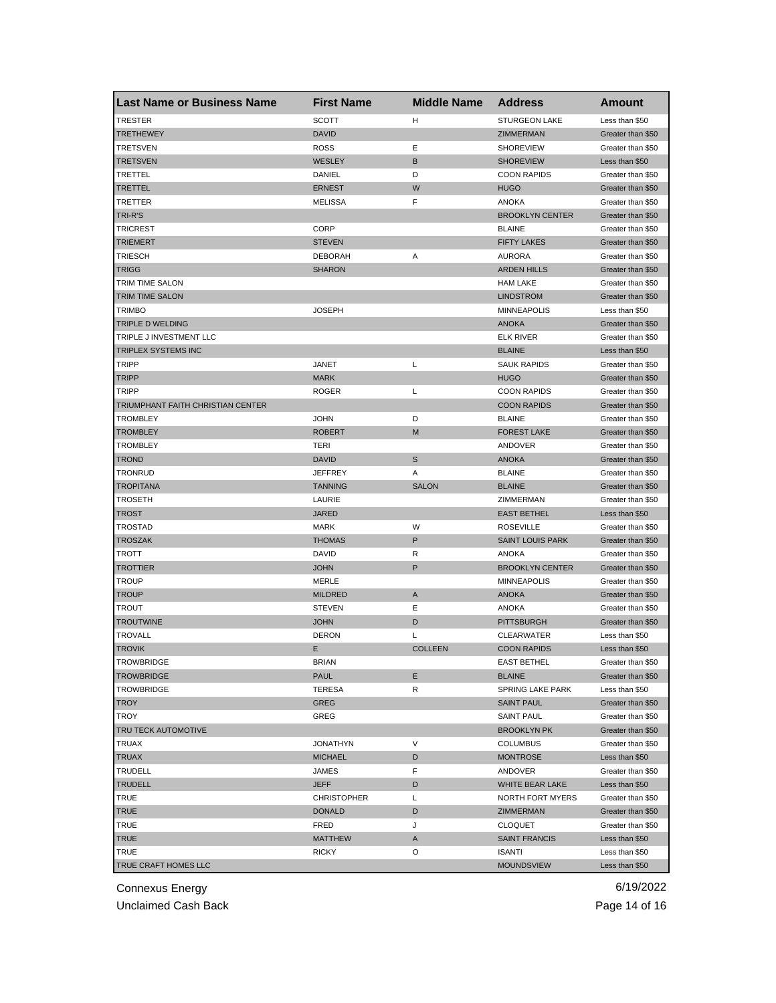| <b>Last Name or Business Name</b> | <b>First Name</b>  | <b>Middle Name</b> | <b>Address</b>                      | Amount                              |
|-----------------------------------|--------------------|--------------------|-------------------------------------|-------------------------------------|
| <b>TRESTER</b>                    | <b>SCOTT</b>       | н                  | <b>STURGEON LAKE</b>                | Less than \$50                      |
| <b>TRETHEWEY</b>                  | <b>DAVID</b>       |                    | <b>ZIMMERMAN</b>                    | Greater than \$50                   |
| TRETSVEN                          | <b>ROSS</b>        | Ε                  | <b>SHOREVIEW</b>                    | Greater than \$50                   |
| TRETSVEN                          | WESLEY             | B                  | <b>SHOREVIEW</b>                    | Less than \$50                      |
| TRETTEL                           | DANIEL             | D                  | <b>COON RAPIDS</b>                  | Greater than \$50                   |
| TRETTEL                           | <b>ERNEST</b>      | W                  | <b>HUGO</b>                         | Greater than \$50                   |
| TRETTER                           | <b>MELISSA</b>     | F                  | ANOKA                               | Greater than \$50                   |
| TRI-R'S                           |                    |                    | <b>BROOKLYN CENTER</b>              | Greater than \$50                   |
| <b>TRICREST</b>                   | CORP               |                    | <b>BLAINE</b>                       | Greater than \$50                   |
| <b>TRIEMERT</b>                   | <b>STEVEN</b>      |                    | <b>FIFTY LAKES</b>                  | Greater than \$50                   |
| TRIESCH                           | <b>DEBORAH</b>     | Α                  | <b>AURORA</b>                       | Greater than \$50                   |
| TRIGG                             | SHARON             |                    | <b>ARDEN HILLS</b>                  | Greater than \$50                   |
| TRIM TIME SALON                   |                    |                    | <b>HAM LAKE</b>                     | Greater than \$50                   |
| <b>TRIM TIME SALON</b>            |                    |                    | <b>LINDSTROM</b>                    | Greater than \$50                   |
| <b>TRIMBO</b>                     | <b>JOSEPH</b>      |                    | <b>MINNEAPOLIS</b>                  | Less than \$50                      |
| TRIPLE D WELDING                  |                    |                    | <b>ANOKA</b>                        | Greater than \$50                   |
| TRIPLE J INVESTMENT LLC           |                    |                    | <b>ELK RIVER</b>                    | Greater than \$50                   |
| TRIPLEX SYSTEMS INC               |                    |                    | <b>BLAINE</b>                       | Less than \$50                      |
| TRIPP                             | JANET              | L                  | <b>SAUK RAPIDS</b>                  | Greater than \$50                   |
| <b>TRIPP</b>                      | <b>MARK</b>        |                    | <b>HUGO</b>                         | Greater than \$50                   |
| <b>TRIPP</b>                      | <b>ROGER</b>       | Г                  | <b>COON RAPIDS</b>                  | Greater than \$50                   |
| TRIUMPHANT FAITH CHRISTIAN CENTER |                    |                    | <b>COON RAPIDS</b>                  | Greater than \$50                   |
| <b>TROMBLEY</b>                   | <b>JOHN</b>        | D                  | <b>BLAINE</b>                       | Greater than \$50                   |
| <b>TROMBLEY</b>                   | <b>ROBERT</b>      | M                  | <b>FOREST LAKE</b>                  | Greater than \$50                   |
| <b>TROMBLEY</b>                   | TERI               |                    | ANDOVER                             | Greater than \$50                   |
| <b>TROND</b>                      | <b>DAVID</b>       | S                  | <b>ANOKA</b>                        | Greater than \$50                   |
| TRONRUD                           | <b>JEFFREY</b>     | Α                  | <b>BLAINE</b>                       | Greater than \$50                   |
| <b>TROPITANA</b>                  | <b>TANNING</b>     | <b>SALON</b>       | <b>BLAINE</b>                       | Greater than \$50                   |
| TROSETH                           | LAURIE             |                    | ZIMMERMAN                           | Greater than \$50                   |
| TROST                             | <b>JARED</b>       |                    | <b>EAST BETHEL</b>                  | Less than \$50                      |
| <b>TROSTAD</b>                    | <b>MARK</b>        | W                  | <b>ROSEVILLE</b>                    | Greater than \$50                   |
| <b>TROSZAK</b>                    | <b>THOMAS</b>      | P                  | <b>SAINT LOUIS PARK</b>             | Greater than \$50                   |
| TROTT                             | <b>DAVID</b>       | R                  | <b>ANOKA</b>                        | Greater than \$50                   |
| <b>TROTTIER</b>                   | <b>JOHN</b>        | P                  | <b>BROOKLYN CENTER</b>              | Greater than \$50                   |
| TROUP                             | MERLE              |                    | <b>MINNEAPOLIS</b>                  | Greater than \$50                   |
| TROUP                             | <b>MILDRED</b>     | Α                  | <b>ANOKA</b>                        | Greater than \$50                   |
| TROUT                             | <b>STEVEN</b>      | Ε                  | <b>ANOKA</b>                        | Greater than \$50                   |
| <b>TROUTWINE</b>                  | <b>JOHN</b>        | D                  | <b>PITTSBURGH</b>                   | Greater than \$50                   |
| TROVALL                           | <b>DERON</b>       | L                  | <b>CLEARWATER</b>                   | Less than \$50                      |
| <b>TROVIK</b>                     | Е                  | <b>COLLEEN</b>     | <b>COON RAPIDS</b>                  | Less than \$50                      |
| <b>IROWBRIDGE</b>                 | BRIAN              |                    | <b>EAST BETHEL</b>                  | Greater than \$50                   |
| <b>TROWBRIDGE</b>                 | PAUL               | Ε                  | <b>BLAINE</b>                       | Greater than \$50                   |
| <b>TROWBRIDGE</b>                 | <b>TERESA</b>      | R                  | SPRING LAKE PARK                    | Less than \$50                      |
| <b>TROY</b>                       | GREG               |                    | <b>SAINT PAUL</b>                   | Greater than \$50                   |
| TROY                              | GREG               |                    | <b>SAINT PAUL</b>                   | Greater than \$50                   |
| TRU TECK AUTOMOTIVE               |                    |                    | <b>BROOKLYN PK</b>                  | Greater than \$50                   |
| TRUAX                             | <b>JONATHYN</b>    | V                  | <b>COLUMBUS</b>                     | Greater than \$50                   |
| <b>TRUAX</b>                      | <b>MICHAEL</b>     | D                  | <b>MONTROSE</b>                     | Less than \$50                      |
|                                   |                    | F                  |                                     |                                     |
| TRUDELL<br><b>TRUDELL</b>         | JAMES              |                    | ANDOVER                             | Greater than \$50<br>Less than \$50 |
|                                   | <b>JEFF</b>        | D                  | WHITE BEAR LAKE<br>NORTH FORT MYERS |                                     |
| TRUE                              | <b>CHRISTOPHER</b> | L                  |                                     | Greater than \$50                   |
| <b>TRUE</b>                       | <b>DONALD</b>      | D                  | ZIMMERMAN                           | Greater than \$50                   |
| TRUE                              | FRED               | J                  | CLOQUET                             | Greater than \$50                   |
| TRUE                              | <b>MATTHEW</b>     | A                  | <b>SAINT FRANCIS</b>                | Less than \$50                      |
| <b>TRUE</b>                       | <b>RICKY</b>       | O                  | <b>ISANTI</b>                       | Less than \$50                      |
| TRUE CRAFT HOMES LLC              |                    |                    | <b>MOUNDSVIEW</b>                   | Less than \$50                      |

Unclaimed Cash Back **Page 14 of 16**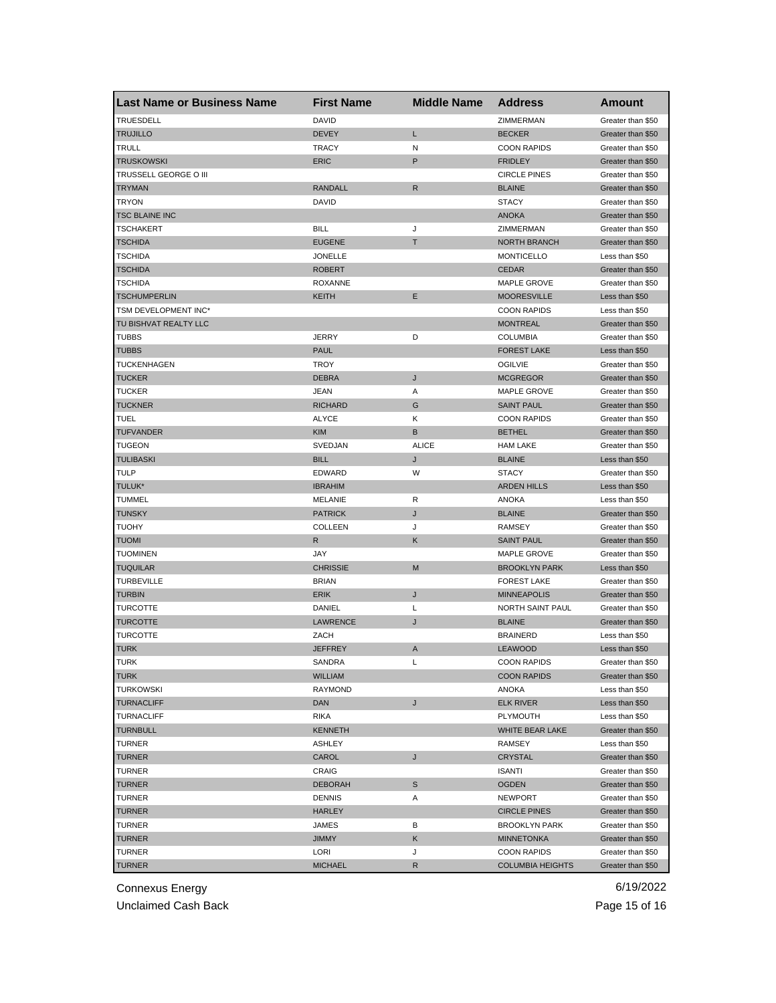| <b>TRUESDELL</b><br><b>DAVID</b><br>ZIMMERMAN<br>Greater than \$50<br><b>DEVEY</b><br>Г<br><b>TRUJILLO</b><br><b>BECKER</b><br>Greater than \$50<br>TRULL<br><b>TRACY</b><br>N<br><b>COON RAPIDS</b><br>Greater than \$50<br>P<br><b>TRUSKOWSKI</b><br><b>ERIC</b><br><b>FRIDLEY</b><br>Greater than \$50<br>TRUSSELL GEORGE O III<br><b>CIRCLE PINES</b><br>Greater than \$50<br><b>RANDALL</b><br>$\mathsf{R}$<br><b>TRYMAN</b><br><b>BLAINE</b><br>Greater than \$50<br><b>TRYON</b><br><b>DAVID</b><br><b>STACY</b><br>Greater than \$50<br><b>TSC BLAINE INC</b><br><b>ANOKA</b><br>Greater than \$50<br>TSCHAKERT<br><b>BILL</b><br>J<br>ZIMMERMAN<br>Greater than \$50<br><b>EUGENE</b><br>т<br><b>NORTH BRANCH</b><br>TSCHIDA<br>Greater than \$50<br><b>JONELLE</b><br>TSCHIDA<br><b>MONTICELLO</b><br>Less than \$50<br><b>TSCHIDA</b><br><b>ROBERT</b><br><b>CEDAR</b><br>Greater than \$50<br><b>TSCHIDA</b><br><b>ROXANNE</b><br>MAPLE GROVE<br>Greater than \$50<br><b>TSCHUMPERLIN</b><br>E<br><b>MOORESVILLE</b><br>KEITH<br>Less than \$50<br>TSM DEVELOPMENT INC*<br><b>COON RAPIDS</b><br>Less than \$50<br>TU BISHVAT REALTY LLC<br><b>MONTREAL</b><br>Greater than \$50<br>D<br><b>TUBBS</b><br><b>JERRY</b><br><b>COLUMBIA</b><br>Greater than \$50<br><b>TUBBS</b><br><b>PAUL</b><br><b>FOREST LAKE</b><br>Less than \$50<br>TUCKENHAGEN<br><b>TROY</b><br><b>OGILVIE</b><br>Greater than \$50<br>J<br><b>TUCKER</b><br><b>DEBRA</b><br><b>MCGREGOR</b><br>Greater than \$50<br><b>TUCKER</b><br><b>JEAN</b><br>Α<br>MAPLE GROVE<br>Greater than \$50<br><b>TUCKNER</b><br><b>RICHARD</b><br>G<br><b>SAINT PAUL</b><br>Greater than \$50<br>TUEL<br><b>ALYCE</b><br>Κ<br><b>COON RAPIDS</b><br>Greater than \$50<br>B<br><b>TUFVANDER</b><br><b>KIM</b><br><b>BETHEL</b><br>Greater than \$50<br><b>ALICE</b><br>TUGEON<br>SVEDJAN<br><b>HAM LAKE</b><br>Greater than \$50<br><b>TULIBASKI</b><br><b>BILL</b><br><b>BLAINE</b><br>J<br>Less than \$50<br>TULP<br><b>EDWARD</b><br>W<br><b>STACY</b><br>Greater than \$50<br>TULUK*<br><b>IBRAHIM</b><br><b>ARDEN HILLS</b><br>Less than \$50<br><b>TUMMEL</b><br><b>MELANIE</b><br>R<br><b>ANOKA</b><br>Less than \$50<br>J<br>TUNSKY<br><b>PATRICK</b><br><b>BLAINE</b><br>Greater than \$50<br><b>TUOHY</b><br><b>COLLEEN</b><br>J<br><b>RAMSEY</b><br>Greater than \$50<br>R<br>Κ<br><b>TUOMI</b><br><b>SAINT PAUL</b><br>Greater than \$50<br><b>TUOMINEN</b><br>JAY<br>MAPLE GROVE<br>Greater than \$50<br>M<br><b>TUQUILAR</b><br><b>CHRISSIE</b><br><b>BROOKLYN PARK</b><br>Less than \$50<br><b>TURBEVILLE</b><br><b>BRIAN</b><br><b>FOREST LAKE</b><br>Greater than \$50<br>J<br><b>TURBIN</b><br><b>ERIK</b><br><b>MINNEAPOLIS</b><br>Greater than \$50<br>TURCOTTE<br>DANIEL<br>L<br>NORTH SAINT PAUL<br>Greater than \$50<br>TURCOTTE<br>LAWRENCE<br>J<br><b>BLAINE</b><br>Greater than \$50<br>TURCOTTE<br>ZACH<br><b>BRAINERD</b><br>Less than \$50<br>TURK<br>JEFFREY<br><b>LEAWOOD</b><br>A<br>Less than \$50<br>TURK<br>SANDRA<br>L<br><b>COON RAPIDS</b><br>Greater than \$50<br><b>TURK</b><br>WILLIAM<br><b>COON RAPIDS</b><br>Greater than \$50 | <b>Last Name or Business Name</b> | <b>First Name</b> | <b>Middle Name</b> | <b>Address</b> | Amount |
|---------------------------------------------------------------------------------------------------------------------------------------------------------------------------------------------------------------------------------------------------------------------------------------------------------------------------------------------------------------------------------------------------------------------------------------------------------------------------------------------------------------------------------------------------------------------------------------------------------------------------------------------------------------------------------------------------------------------------------------------------------------------------------------------------------------------------------------------------------------------------------------------------------------------------------------------------------------------------------------------------------------------------------------------------------------------------------------------------------------------------------------------------------------------------------------------------------------------------------------------------------------------------------------------------------------------------------------------------------------------------------------------------------------------------------------------------------------------------------------------------------------------------------------------------------------------------------------------------------------------------------------------------------------------------------------------------------------------------------------------------------------------------------------------------------------------------------------------------------------------------------------------------------------------------------------------------------------------------------------------------------------------------------------------------------------------------------------------------------------------------------------------------------------------------------------------------------------------------------------------------------------------------------------------------------------------------------------------------------------------------------------------------------------------------------------------------------------------------------------------------------------------------------------------------------------------------------------------------------------------------------------------------------------------------------------------------------------------------------------------------------------------------------------------------------------------------------------------------------------------------------------------------------------------------------------------------------------------------------------------------------------------------------------------------------------------------------------------------------------------------------------------|-----------------------------------|-------------------|--------------------|----------------|--------|
|                                                                                                                                                                                                                                                                                                                                                                                                                                                                                                                                                                                                                                                                                                                                                                                                                                                                                                                                                                                                                                                                                                                                                                                                                                                                                                                                                                                                                                                                                                                                                                                                                                                                                                                                                                                                                                                                                                                                                                                                                                                                                                                                                                                                                                                                                                                                                                                                                                                                                                                                                                                                                                                                                                                                                                                                                                                                                                                                                                                                                                                                                                                                             |                                   |                   |                    |                |        |
|                                                                                                                                                                                                                                                                                                                                                                                                                                                                                                                                                                                                                                                                                                                                                                                                                                                                                                                                                                                                                                                                                                                                                                                                                                                                                                                                                                                                                                                                                                                                                                                                                                                                                                                                                                                                                                                                                                                                                                                                                                                                                                                                                                                                                                                                                                                                                                                                                                                                                                                                                                                                                                                                                                                                                                                                                                                                                                                                                                                                                                                                                                                                             |                                   |                   |                    |                |        |
|                                                                                                                                                                                                                                                                                                                                                                                                                                                                                                                                                                                                                                                                                                                                                                                                                                                                                                                                                                                                                                                                                                                                                                                                                                                                                                                                                                                                                                                                                                                                                                                                                                                                                                                                                                                                                                                                                                                                                                                                                                                                                                                                                                                                                                                                                                                                                                                                                                                                                                                                                                                                                                                                                                                                                                                                                                                                                                                                                                                                                                                                                                                                             |                                   |                   |                    |                |        |
|                                                                                                                                                                                                                                                                                                                                                                                                                                                                                                                                                                                                                                                                                                                                                                                                                                                                                                                                                                                                                                                                                                                                                                                                                                                                                                                                                                                                                                                                                                                                                                                                                                                                                                                                                                                                                                                                                                                                                                                                                                                                                                                                                                                                                                                                                                                                                                                                                                                                                                                                                                                                                                                                                                                                                                                                                                                                                                                                                                                                                                                                                                                                             |                                   |                   |                    |                |        |
|                                                                                                                                                                                                                                                                                                                                                                                                                                                                                                                                                                                                                                                                                                                                                                                                                                                                                                                                                                                                                                                                                                                                                                                                                                                                                                                                                                                                                                                                                                                                                                                                                                                                                                                                                                                                                                                                                                                                                                                                                                                                                                                                                                                                                                                                                                                                                                                                                                                                                                                                                                                                                                                                                                                                                                                                                                                                                                                                                                                                                                                                                                                                             |                                   |                   |                    |                |        |
|                                                                                                                                                                                                                                                                                                                                                                                                                                                                                                                                                                                                                                                                                                                                                                                                                                                                                                                                                                                                                                                                                                                                                                                                                                                                                                                                                                                                                                                                                                                                                                                                                                                                                                                                                                                                                                                                                                                                                                                                                                                                                                                                                                                                                                                                                                                                                                                                                                                                                                                                                                                                                                                                                                                                                                                                                                                                                                                                                                                                                                                                                                                                             |                                   |                   |                    |                |        |
|                                                                                                                                                                                                                                                                                                                                                                                                                                                                                                                                                                                                                                                                                                                                                                                                                                                                                                                                                                                                                                                                                                                                                                                                                                                                                                                                                                                                                                                                                                                                                                                                                                                                                                                                                                                                                                                                                                                                                                                                                                                                                                                                                                                                                                                                                                                                                                                                                                                                                                                                                                                                                                                                                                                                                                                                                                                                                                                                                                                                                                                                                                                                             |                                   |                   |                    |                |        |
|                                                                                                                                                                                                                                                                                                                                                                                                                                                                                                                                                                                                                                                                                                                                                                                                                                                                                                                                                                                                                                                                                                                                                                                                                                                                                                                                                                                                                                                                                                                                                                                                                                                                                                                                                                                                                                                                                                                                                                                                                                                                                                                                                                                                                                                                                                                                                                                                                                                                                                                                                                                                                                                                                                                                                                                                                                                                                                                                                                                                                                                                                                                                             |                                   |                   |                    |                |        |
|                                                                                                                                                                                                                                                                                                                                                                                                                                                                                                                                                                                                                                                                                                                                                                                                                                                                                                                                                                                                                                                                                                                                                                                                                                                                                                                                                                                                                                                                                                                                                                                                                                                                                                                                                                                                                                                                                                                                                                                                                                                                                                                                                                                                                                                                                                                                                                                                                                                                                                                                                                                                                                                                                                                                                                                                                                                                                                                                                                                                                                                                                                                                             |                                   |                   |                    |                |        |
|                                                                                                                                                                                                                                                                                                                                                                                                                                                                                                                                                                                                                                                                                                                                                                                                                                                                                                                                                                                                                                                                                                                                                                                                                                                                                                                                                                                                                                                                                                                                                                                                                                                                                                                                                                                                                                                                                                                                                                                                                                                                                                                                                                                                                                                                                                                                                                                                                                                                                                                                                                                                                                                                                                                                                                                                                                                                                                                                                                                                                                                                                                                                             |                                   |                   |                    |                |        |
|                                                                                                                                                                                                                                                                                                                                                                                                                                                                                                                                                                                                                                                                                                                                                                                                                                                                                                                                                                                                                                                                                                                                                                                                                                                                                                                                                                                                                                                                                                                                                                                                                                                                                                                                                                                                                                                                                                                                                                                                                                                                                                                                                                                                                                                                                                                                                                                                                                                                                                                                                                                                                                                                                                                                                                                                                                                                                                                                                                                                                                                                                                                                             |                                   |                   |                    |                |        |
|                                                                                                                                                                                                                                                                                                                                                                                                                                                                                                                                                                                                                                                                                                                                                                                                                                                                                                                                                                                                                                                                                                                                                                                                                                                                                                                                                                                                                                                                                                                                                                                                                                                                                                                                                                                                                                                                                                                                                                                                                                                                                                                                                                                                                                                                                                                                                                                                                                                                                                                                                                                                                                                                                                                                                                                                                                                                                                                                                                                                                                                                                                                                             |                                   |                   |                    |                |        |
|                                                                                                                                                                                                                                                                                                                                                                                                                                                                                                                                                                                                                                                                                                                                                                                                                                                                                                                                                                                                                                                                                                                                                                                                                                                                                                                                                                                                                                                                                                                                                                                                                                                                                                                                                                                                                                                                                                                                                                                                                                                                                                                                                                                                                                                                                                                                                                                                                                                                                                                                                                                                                                                                                                                                                                                                                                                                                                                                                                                                                                                                                                                                             |                                   |                   |                    |                |        |
|                                                                                                                                                                                                                                                                                                                                                                                                                                                                                                                                                                                                                                                                                                                                                                                                                                                                                                                                                                                                                                                                                                                                                                                                                                                                                                                                                                                                                                                                                                                                                                                                                                                                                                                                                                                                                                                                                                                                                                                                                                                                                                                                                                                                                                                                                                                                                                                                                                                                                                                                                                                                                                                                                                                                                                                                                                                                                                                                                                                                                                                                                                                                             |                                   |                   |                    |                |        |
|                                                                                                                                                                                                                                                                                                                                                                                                                                                                                                                                                                                                                                                                                                                                                                                                                                                                                                                                                                                                                                                                                                                                                                                                                                                                                                                                                                                                                                                                                                                                                                                                                                                                                                                                                                                                                                                                                                                                                                                                                                                                                                                                                                                                                                                                                                                                                                                                                                                                                                                                                                                                                                                                                                                                                                                                                                                                                                                                                                                                                                                                                                                                             |                                   |                   |                    |                |        |
|                                                                                                                                                                                                                                                                                                                                                                                                                                                                                                                                                                                                                                                                                                                                                                                                                                                                                                                                                                                                                                                                                                                                                                                                                                                                                                                                                                                                                                                                                                                                                                                                                                                                                                                                                                                                                                                                                                                                                                                                                                                                                                                                                                                                                                                                                                                                                                                                                                                                                                                                                                                                                                                                                                                                                                                                                                                                                                                                                                                                                                                                                                                                             |                                   |                   |                    |                |        |
|                                                                                                                                                                                                                                                                                                                                                                                                                                                                                                                                                                                                                                                                                                                                                                                                                                                                                                                                                                                                                                                                                                                                                                                                                                                                                                                                                                                                                                                                                                                                                                                                                                                                                                                                                                                                                                                                                                                                                                                                                                                                                                                                                                                                                                                                                                                                                                                                                                                                                                                                                                                                                                                                                                                                                                                                                                                                                                                                                                                                                                                                                                                                             |                                   |                   |                    |                |        |
|                                                                                                                                                                                                                                                                                                                                                                                                                                                                                                                                                                                                                                                                                                                                                                                                                                                                                                                                                                                                                                                                                                                                                                                                                                                                                                                                                                                                                                                                                                                                                                                                                                                                                                                                                                                                                                                                                                                                                                                                                                                                                                                                                                                                                                                                                                                                                                                                                                                                                                                                                                                                                                                                                                                                                                                                                                                                                                                                                                                                                                                                                                                                             |                                   |                   |                    |                |        |
|                                                                                                                                                                                                                                                                                                                                                                                                                                                                                                                                                                                                                                                                                                                                                                                                                                                                                                                                                                                                                                                                                                                                                                                                                                                                                                                                                                                                                                                                                                                                                                                                                                                                                                                                                                                                                                                                                                                                                                                                                                                                                                                                                                                                                                                                                                                                                                                                                                                                                                                                                                                                                                                                                                                                                                                                                                                                                                                                                                                                                                                                                                                                             |                                   |                   |                    |                |        |
|                                                                                                                                                                                                                                                                                                                                                                                                                                                                                                                                                                                                                                                                                                                                                                                                                                                                                                                                                                                                                                                                                                                                                                                                                                                                                                                                                                                                                                                                                                                                                                                                                                                                                                                                                                                                                                                                                                                                                                                                                                                                                                                                                                                                                                                                                                                                                                                                                                                                                                                                                                                                                                                                                                                                                                                                                                                                                                                                                                                                                                                                                                                                             |                                   |                   |                    |                |        |
|                                                                                                                                                                                                                                                                                                                                                                                                                                                                                                                                                                                                                                                                                                                                                                                                                                                                                                                                                                                                                                                                                                                                                                                                                                                                                                                                                                                                                                                                                                                                                                                                                                                                                                                                                                                                                                                                                                                                                                                                                                                                                                                                                                                                                                                                                                                                                                                                                                                                                                                                                                                                                                                                                                                                                                                                                                                                                                                                                                                                                                                                                                                                             |                                   |                   |                    |                |        |
|                                                                                                                                                                                                                                                                                                                                                                                                                                                                                                                                                                                                                                                                                                                                                                                                                                                                                                                                                                                                                                                                                                                                                                                                                                                                                                                                                                                                                                                                                                                                                                                                                                                                                                                                                                                                                                                                                                                                                                                                                                                                                                                                                                                                                                                                                                                                                                                                                                                                                                                                                                                                                                                                                                                                                                                                                                                                                                                                                                                                                                                                                                                                             |                                   |                   |                    |                |        |
|                                                                                                                                                                                                                                                                                                                                                                                                                                                                                                                                                                                                                                                                                                                                                                                                                                                                                                                                                                                                                                                                                                                                                                                                                                                                                                                                                                                                                                                                                                                                                                                                                                                                                                                                                                                                                                                                                                                                                                                                                                                                                                                                                                                                                                                                                                                                                                                                                                                                                                                                                                                                                                                                                                                                                                                                                                                                                                                                                                                                                                                                                                                                             |                                   |                   |                    |                |        |
|                                                                                                                                                                                                                                                                                                                                                                                                                                                                                                                                                                                                                                                                                                                                                                                                                                                                                                                                                                                                                                                                                                                                                                                                                                                                                                                                                                                                                                                                                                                                                                                                                                                                                                                                                                                                                                                                                                                                                                                                                                                                                                                                                                                                                                                                                                                                                                                                                                                                                                                                                                                                                                                                                                                                                                                                                                                                                                                                                                                                                                                                                                                                             |                                   |                   |                    |                |        |
|                                                                                                                                                                                                                                                                                                                                                                                                                                                                                                                                                                                                                                                                                                                                                                                                                                                                                                                                                                                                                                                                                                                                                                                                                                                                                                                                                                                                                                                                                                                                                                                                                                                                                                                                                                                                                                                                                                                                                                                                                                                                                                                                                                                                                                                                                                                                                                                                                                                                                                                                                                                                                                                                                                                                                                                                                                                                                                                                                                                                                                                                                                                                             |                                   |                   |                    |                |        |
|                                                                                                                                                                                                                                                                                                                                                                                                                                                                                                                                                                                                                                                                                                                                                                                                                                                                                                                                                                                                                                                                                                                                                                                                                                                                                                                                                                                                                                                                                                                                                                                                                                                                                                                                                                                                                                                                                                                                                                                                                                                                                                                                                                                                                                                                                                                                                                                                                                                                                                                                                                                                                                                                                                                                                                                                                                                                                                                                                                                                                                                                                                                                             |                                   |                   |                    |                |        |
|                                                                                                                                                                                                                                                                                                                                                                                                                                                                                                                                                                                                                                                                                                                                                                                                                                                                                                                                                                                                                                                                                                                                                                                                                                                                                                                                                                                                                                                                                                                                                                                                                                                                                                                                                                                                                                                                                                                                                                                                                                                                                                                                                                                                                                                                                                                                                                                                                                                                                                                                                                                                                                                                                                                                                                                                                                                                                                                                                                                                                                                                                                                                             |                                   |                   |                    |                |        |
|                                                                                                                                                                                                                                                                                                                                                                                                                                                                                                                                                                                                                                                                                                                                                                                                                                                                                                                                                                                                                                                                                                                                                                                                                                                                                                                                                                                                                                                                                                                                                                                                                                                                                                                                                                                                                                                                                                                                                                                                                                                                                                                                                                                                                                                                                                                                                                                                                                                                                                                                                                                                                                                                                                                                                                                                                                                                                                                                                                                                                                                                                                                                             |                                   |                   |                    |                |        |
|                                                                                                                                                                                                                                                                                                                                                                                                                                                                                                                                                                                                                                                                                                                                                                                                                                                                                                                                                                                                                                                                                                                                                                                                                                                                                                                                                                                                                                                                                                                                                                                                                                                                                                                                                                                                                                                                                                                                                                                                                                                                                                                                                                                                                                                                                                                                                                                                                                                                                                                                                                                                                                                                                                                                                                                                                                                                                                                                                                                                                                                                                                                                             |                                   |                   |                    |                |        |
|                                                                                                                                                                                                                                                                                                                                                                                                                                                                                                                                                                                                                                                                                                                                                                                                                                                                                                                                                                                                                                                                                                                                                                                                                                                                                                                                                                                                                                                                                                                                                                                                                                                                                                                                                                                                                                                                                                                                                                                                                                                                                                                                                                                                                                                                                                                                                                                                                                                                                                                                                                                                                                                                                                                                                                                                                                                                                                                                                                                                                                                                                                                                             |                                   |                   |                    |                |        |
|                                                                                                                                                                                                                                                                                                                                                                                                                                                                                                                                                                                                                                                                                                                                                                                                                                                                                                                                                                                                                                                                                                                                                                                                                                                                                                                                                                                                                                                                                                                                                                                                                                                                                                                                                                                                                                                                                                                                                                                                                                                                                                                                                                                                                                                                                                                                                                                                                                                                                                                                                                                                                                                                                                                                                                                                                                                                                                                                                                                                                                                                                                                                             |                                   |                   |                    |                |        |
|                                                                                                                                                                                                                                                                                                                                                                                                                                                                                                                                                                                                                                                                                                                                                                                                                                                                                                                                                                                                                                                                                                                                                                                                                                                                                                                                                                                                                                                                                                                                                                                                                                                                                                                                                                                                                                                                                                                                                                                                                                                                                                                                                                                                                                                                                                                                                                                                                                                                                                                                                                                                                                                                                                                                                                                                                                                                                                                                                                                                                                                                                                                                             |                                   |                   |                    |                |        |
|                                                                                                                                                                                                                                                                                                                                                                                                                                                                                                                                                                                                                                                                                                                                                                                                                                                                                                                                                                                                                                                                                                                                                                                                                                                                                                                                                                                                                                                                                                                                                                                                                                                                                                                                                                                                                                                                                                                                                                                                                                                                                                                                                                                                                                                                                                                                                                                                                                                                                                                                                                                                                                                                                                                                                                                                                                                                                                                                                                                                                                                                                                                                             |                                   |                   |                    |                |        |
|                                                                                                                                                                                                                                                                                                                                                                                                                                                                                                                                                                                                                                                                                                                                                                                                                                                                                                                                                                                                                                                                                                                                                                                                                                                                                                                                                                                                                                                                                                                                                                                                                                                                                                                                                                                                                                                                                                                                                                                                                                                                                                                                                                                                                                                                                                                                                                                                                                                                                                                                                                                                                                                                                                                                                                                                                                                                                                                                                                                                                                                                                                                                             |                                   |                   |                    |                |        |
|                                                                                                                                                                                                                                                                                                                                                                                                                                                                                                                                                                                                                                                                                                                                                                                                                                                                                                                                                                                                                                                                                                                                                                                                                                                                                                                                                                                                                                                                                                                                                                                                                                                                                                                                                                                                                                                                                                                                                                                                                                                                                                                                                                                                                                                                                                                                                                                                                                                                                                                                                                                                                                                                                                                                                                                                                                                                                                                                                                                                                                                                                                                                             |                                   |                   |                    |                |        |
|                                                                                                                                                                                                                                                                                                                                                                                                                                                                                                                                                                                                                                                                                                                                                                                                                                                                                                                                                                                                                                                                                                                                                                                                                                                                                                                                                                                                                                                                                                                                                                                                                                                                                                                                                                                                                                                                                                                                                                                                                                                                                                                                                                                                                                                                                                                                                                                                                                                                                                                                                                                                                                                                                                                                                                                                                                                                                                                                                                                                                                                                                                                                             |                                   |                   |                    |                |        |
|                                                                                                                                                                                                                                                                                                                                                                                                                                                                                                                                                                                                                                                                                                                                                                                                                                                                                                                                                                                                                                                                                                                                                                                                                                                                                                                                                                                                                                                                                                                                                                                                                                                                                                                                                                                                                                                                                                                                                                                                                                                                                                                                                                                                                                                                                                                                                                                                                                                                                                                                                                                                                                                                                                                                                                                                                                                                                                                                                                                                                                                                                                                                             |                                   |                   |                    |                |        |
|                                                                                                                                                                                                                                                                                                                                                                                                                                                                                                                                                                                                                                                                                                                                                                                                                                                                                                                                                                                                                                                                                                                                                                                                                                                                                                                                                                                                                                                                                                                                                                                                                                                                                                                                                                                                                                                                                                                                                                                                                                                                                                                                                                                                                                                                                                                                                                                                                                                                                                                                                                                                                                                                                                                                                                                                                                                                                                                                                                                                                                                                                                                                             |                                   |                   |                    |                |        |
|                                                                                                                                                                                                                                                                                                                                                                                                                                                                                                                                                                                                                                                                                                                                                                                                                                                                                                                                                                                                                                                                                                                                                                                                                                                                                                                                                                                                                                                                                                                                                                                                                                                                                                                                                                                                                                                                                                                                                                                                                                                                                                                                                                                                                                                                                                                                                                                                                                                                                                                                                                                                                                                                                                                                                                                                                                                                                                                                                                                                                                                                                                                                             |                                   |                   |                    |                |        |
|                                                                                                                                                                                                                                                                                                                                                                                                                                                                                                                                                                                                                                                                                                                                                                                                                                                                                                                                                                                                                                                                                                                                                                                                                                                                                                                                                                                                                                                                                                                                                                                                                                                                                                                                                                                                                                                                                                                                                                                                                                                                                                                                                                                                                                                                                                                                                                                                                                                                                                                                                                                                                                                                                                                                                                                                                                                                                                                                                                                                                                                                                                                                             |                                   |                   |                    |                |        |
|                                                                                                                                                                                                                                                                                                                                                                                                                                                                                                                                                                                                                                                                                                                                                                                                                                                                                                                                                                                                                                                                                                                                                                                                                                                                                                                                                                                                                                                                                                                                                                                                                                                                                                                                                                                                                                                                                                                                                                                                                                                                                                                                                                                                                                                                                                                                                                                                                                                                                                                                                                                                                                                                                                                                                                                                                                                                                                                                                                                                                                                                                                                                             |                                   |                   |                    |                |        |
|                                                                                                                                                                                                                                                                                                                                                                                                                                                                                                                                                                                                                                                                                                                                                                                                                                                                                                                                                                                                                                                                                                                                                                                                                                                                                                                                                                                                                                                                                                                                                                                                                                                                                                                                                                                                                                                                                                                                                                                                                                                                                                                                                                                                                                                                                                                                                                                                                                                                                                                                                                                                                                                                                                                                                                                                                                                                                                                                                                                                                                                                                                                                             |                                   |                   |                    |                |        |
| <b>TURKOWSKI</b><br><b>RAYMOND</b><br><b>ANOKA</b><br>Less than \$50                                                                                                                                                                                                                                                                                                                                                                                                                                                                                                                                                                                                                                                                                                                                                                                                                                                                                                                                                                                                                                                                                                                                                                                                                                                                                                                                                                                                                                                                                                                                                                                                                                                                                                                                                                                                                                                                                                                                                                                                                                                                                                                                                                                                                                                                                                                                                                                                                                                                                                                                                                                                                                                                                                                                                                                                                                                                                                                                                                                                                                                                        |                                   |                   |                    |                |        |
| <b>TURNACLIFF</b><br>DAN<br>J<br><b>ELK RIVER</b><br>Less than \$50                                                                                                                                                                                                                                                                                                                                                                                                                                                                                                                                                                                                                                                                                                                                                                                                                                                                                                                                                                                                                                                                                                                                                                                                                                                                                                                                                                                                                                                                                                                                                                                                                                                                                                                                                                                                                                                                                                                                                                                                                                                                                                                                                                                                                                                                                                                                                                                                                                                                                                                                                                                                                                                                                                                                                                                                                                                                                                                                                                                                                                                                         |                                   |                   |                    |                |        |
| <b>TURNACLIFF</b><br><b>RIKA</b><br><b>PLYMOUTH</b><br>Less than \$50                                                                                                                                                                                                                                                                                                                                                                                                                                                                                                                                                                                                                                                                                                                                                                                                                                                                                                                                                                                                                                                                                                                                                                                                                                                                                                                                                                                                                                                                                                                                                                                                                                                                                                                                                                                                                                                                                                                                                                                                                                                                                                                                                                                                                                                                                                                                                                                                                                                                                                                                                                                                                                                                                                                                                                                                                                                                                                                                                                                                                                                                       |                                   |                   |                    |                |        |
| <b>TURNBULL</b><br><b>KENNETH</b><br>WHITE BEAR LAKE<br>Greater than \$50                                                                                                                                                                                                                                                                                                                                                                                                                                                                                                                                                                                                                                                                                                                                                                                                                                                                                                                                                                                                                                                                                                                                                                                                                                                                                                                                                                                                                                                                                                                                                                                                                                                                                                                                                                                                                                                                                                                                                                                                                                                                                                                                                                                                                                                                                                                                                                                                                                                                                                                                                                                                                                                                                                                                                                                                                                                                                                                                                                                                                                                                   |                                   |                   |                    |                |        |
| TURNER<br>ASHLEY<br>RAMSEY<br>Less than \$50                                                                                                                                                                                                                                                                                                                                                                                                                                                                                                                                                                                                                                                                                                                                                                                                                                                                                                                                                                                                                                                                                                                                                                                                                                                                                                                                                                                                                                                                                                                                                                                                                                                                                                                                                                                                                                                                                                                                                                                                                                                                                                                                                                                                                                                                                                                                                                                                                                                                                                                                                                                                                                                                                                                                                                                                                                                                                                                                                                                                                                                                                                |                                   |                   |                    |                |        |
| <b>TURNER</b><br>CAROL<br><b>CRYSTAL</b><br>J<br>Greater than \$50                                                                                                                                                                                                                                                                                                                                                                                                                                                                                                                                                                                                                                                                                                                                                                                                                                                                                                                                                                                                                                                                                                                                                                                                                                                                                                                                                                                                                                                                                                                                                                                                                                                                                                                                                                                                                                                                                                                                                                                                                                                                                                                                                                                                                                                                                                                                                                                                                                                                                                                                                                                                                                                                                                                                                                                                                                                                                                                                                                                                                                                                          |                                   |                   |                    |                |        |
| <b>TURNER</b><br>CRAIG<br><b>ISANTI</b><br>Greater than \$50                                                                                                                                                                                                                                                                                                                                                                                                                                                                                                                                                                                                                                                                                                                                                                                                                                                                                                                                                                                                                                                                                                                                                                                                                                                                                                                                                                                                                                                                                                                                                                                                                                                                                                                                                                                                                                                                                                                                                                                                                                                                                                                                                                                                                                                                                                                                                                                                                                                                                                                                                                                                                                                                                                                                                                                                                                                                                                                                                                                                                                                                                |                                   |                   |                    |                |        |
| <b>TURNER</b><br><b>DEBORAH</b><br>S<br><b>OGDEN</b><br>Greater than \$50                                                                                                                                                                                                                                                                                                                                                                                                                                                                                                                                                                                                                                                                                                                                                                                                                                                                                                                                                                                                                                                                                                                                                                                                                                                                                                                                                                                                                                                                                                                                                                                                                                                                                                                                                                                                                                                                                                                                                                                                                                                                                                                                                                                                                                                                                                                                                                                                                                                                                                                                                                                                                                                                                                                                                                                                                                                                                                                                                                                                                                                                   |                                   |                   |                    |                |        |
| TURNER<br><b>DENNIS</b><br>Α<br><b>NEWPORT</b><br>Greater than \$50                                                                                                                                                                                                                                                                                                                                                                                                                                                                                                                                                                                                                                                                                                                                                                                                                                                                                                                                                                                                                                                                                                                                                                                                                                                                                                                                                                                                                                                                                                                                                                                                                                                                                                                                                                                                                                                                                                                                                                                                                                                                                                                                                                                                                                                                                                                                                                                                                                                                                                                                                                                                                                                                                                                                                                                                                                                                                                                                                                                                                                                                         |                                   |                   |                    |                |        |
| <b>TURNER</b><br><b>HARLEY</b><br><b>CIRCLE PINES</b><br>Greater than \$50                                                                                                                                                                                                                                                                                                                                                                                                                                                                                                                                                                                                                                                                                                                                                                                                                                                                                                                                                                                                                                                                                                                                                                                                                                                                                                                                                                                                                                                                                                                                                                                                                                                                                                                                                                                                                                                                                                                                                                                                                                                                                                                                                                                                                                                                                                                                                                                                                                                                                                                                                                                                                                                                                                                                                                                                                                                                                                                                                                                                                                                                  |                                   |                   |                    |                |        |
| TURNER<br>JAMES<br>В<br><b>BROOKLYN PARK</b><br>Greater than \$50                                                                                                                                                                                                                                                                                                                                                                                                                                                                                                                                                                                                                                                                                                                                                                                                                                                                                                                                                                                                                                                                                                                                                                                                                                                                                                                                                                                                                                                                                                                                                                                                                                                                                                                                                                                                                                                                                                                                                                                                                                                                                                                                                                                                                                                                                                                                                                                                                                                                                                                                                                                                                                                                                                                                                                                                                                                                                                                                                                                                                                                                           |                                   |                   |                    |                |        |
| TURNER<br><b>JIMMY</b><br>Κ<br><b>MINNETONKA</b><br>Greater than \$50                                                                                                                                                                                                                                                                                                                                                                                                                                                                                                                                                                                                                                                                                                                                                                                                                                                                                                                                                                                                                                                                                                                                                                                                                                                                                                                                                                                                                                                                                                                                                                                                                                                                                                                                                                                                                                                                                                                                                                                                                                                                                                                                                                                                                                                                                                                                                                                                                                                                                                                                                                                                                                                                                                                                                                                                                                                                                                                                                                                                                                                                       |                                   |                   |                    |                |        |
| J<br>TURNER<br>LORI<br><b>COON RAPIDS</b><br>Greater than \$50                                                                                                                                                                                                                                                                                                                                                                                                                                                                                                                                                                                                                                                                                                                                                                                                                                                                                                                                                                                                                                                                                                                                                                                                                                                                                                                                                                                                                                                                                                                                                                                                                                                                                                                                                                                                                                                                                                                                                                                                                                                                                                                                                                                                                                                                                                                                                                                                                                                                                                                                                                                                                                                                                                                                                                                                                                                                                                                                                                                                                                                                              |                                   |                   |                    |                |        |
| <b>TURNER</b><br><b>MICHAEL</b><br>R<br><b>COLUMBIA HEIGHTS</b><br>Greater than \$50                                                                                                                                                                                                                                                                                                                                                                                                                                                                                                                                                                                                                                                                                                                                                                                                                                                                                                                                                                                                                                                                                                                                                                                                                                                                                                                                                                                                                                                                                                                                                                                                                                                                                                                                                                                                                                                                                                                                                                                                                                                                                                                                                                                                                                                                                                                                                                                                                                                                                                                                                                                                                                                                                                                                                                                                                                                                                                                                                                                                                                                        |                                   |                   |                    |                |        |

Unclaimed Cash Back **Page 15 of 16**